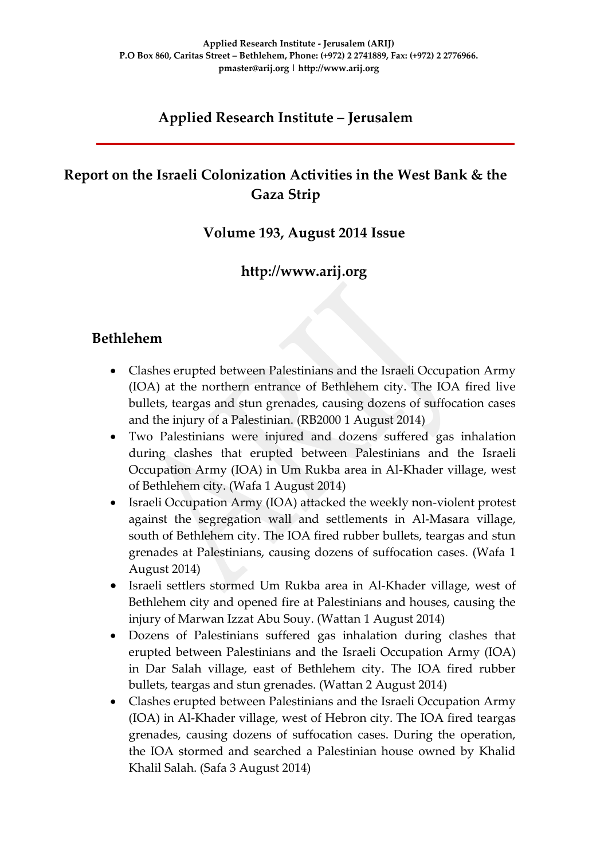### **Applied Research Institute – Jerusalem**

### **Report on the Israeli Colonization Activities in the West Bank & the Gaza Strip**

### **Volume 193, August 2014 Issue**

### **http://www.arij.org**

### **Bethlehem**

- Clashes erupted between Palestinians and the Israeli Occupation Army (IOA) at the northern entrance of Bethlehem city. The IOA fired live bullets, teargas and stun grenades, causing dozens of suffocation cases and the injury of a Palestinian. (RB2000 1 August 2014)
- Two Palestinians were injured and dozens suffered gas inhalation during clashes that erupted between Palestinians and the Israeli Occupation Army (IOA) in Um Rukba area in Al-Khader village, west of Bethlehem city. (Wafa 1 August 2014)
- Israeli Occupation Army (IOA) attacked the weekly non-violent protest against the segregation wall and settlements in Al-Masara village, south of Bethlehem city. The IOA fired rubber bullets, teargas and stun grenades at Palestinians, causing dozens of suffocation cases. (Wafa 1 August 2014)
- Israeli settlers stormed Um Rukba area in Al-Khader village, west of Bethlehem city and opened fire at Palestinians and houses, causing the injury of Marwan Izzat Abu Souy. (Wattan 1 August 2014)
- Dozens of Palestinians suffered gas inhalation during clashes that erupted between Palestinians and the Israeli Occupation Army (IOA) in Dar Salah village, east of Bethlehem city. The IOA fired rubber bullets, teargas and stun grenades. (Wattan 2 August 2014)
- Clashes erupted between Palestinians and the Israeli Occupation Army (IOA) in Al-Khader village, west of Hebron city. The IOA fired teargas grenades, causing dozens of suffocation cases. During the operation, the IOA stormed and searched a Palestinian house owned by Khalid Khalil Salah. (Safa 3 August 2014)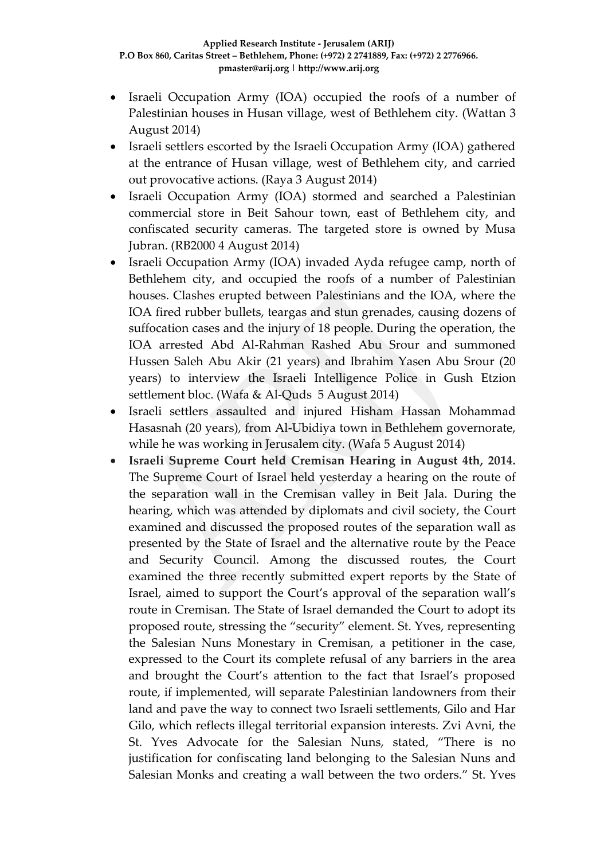- Israeli Occupation Army (IOA) occupied the roofs of a number of Palestinian houses in Husan village, west of Bethlehem city. (Wattan 3 August 2014)
- Israeli settlers escorted by the Israeli Occupation Army (IOA) gathered at the entrance of Husan village, west of Bethlehem city, and carried out provocative actions. (Raya 3 August 2014)
- Israeli Occupation Army (IOA) stormed and searched a Palestinian commercial store in Beit Sahour town, east of Bethlehem city, and confiscated security cameras. The targeted store is owned by Musa Jubran. (RB2000 4 August 2014)
- Israeli Occupation Army (IOA) invaded Ayda refugee camp, north of Bethlehem city, and occupied the roofs of a number of Palestinian houses. Clashes erupted between Palestinians and the IOA, where the IOA fired rubber bullets, teargas and stun grenades, causing dozens of suffocation cases and the injury of 18 people. During the operation, the IOA arrested Abd Al-Rahman Rashed Abu Srour and summoned Hussen Saleh Abu Akir (21 years) and Ibrahim Yasen Abu Srour (20 years) to interview the Israeli Intelligence Police in Gush Etzion settlement bloc. (Wafa & Al-Quds 5 August 2014)
- Israeli settlers assaulted and injured Hisham Hassan Mohammad Hasasnah (20 years), from Al-Ubidiya town in Bethlehem governorate, while he was working in Jerusalem city. (Wafa 5 August 2014)
- **Israeli Supreme Court held Cremisan Hearing in August 4th, 2014.**  The Supreme Court of Israel held yesterday a hearing on the route of the separation wall in the Cremisan valley in Beit Jala. During the hearing, which was attended by diplomats and civil society, the Court examined and discussed the proposed routes of the separation wall as presented by the State of Israel and the alternative route by the Peace and Security Council. Among the discussed routes, the Court examined the three recently submitted expert reports by the State of Israel, aimed to support the Court's approval of the separation wall's route in Cremisan. The State of Israel demanded the Court to adopt its proposed route, stressing the "security" element. St. Yves, representing the Salesian Nuns Monestary in Cremisan, a petitioner in the case, expressed to the Court its complete refusal of any barriers in the area and brought the Court's attention to the fact that Israel's proposed route, if implemented, will separate Palestinian landowners from their land and pave the way to connect two Israeli settlements, Gilo and Har Gilo, which reflects illegal territorial expansion interests. Zvi Avni, the St. Yves Advocate for the Salesian Nuns, stated, "There is no justification for confiscating land belonging to the Salesian Nuns and Salesian Monks and creating a wall between the two orders." St. Yves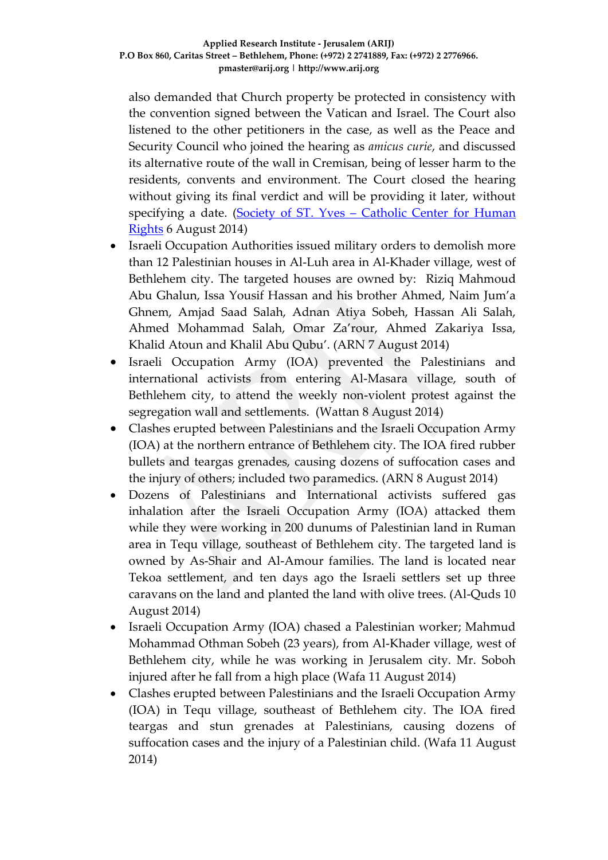also demanded that Church property be protected in consistency with the convention signed between the Vatican and Israel. The Court also listened to the other petitioners in the case, as well as the Peace and Security Council who joined the hearing as *amicus curie*, and discussed its alternative route of the wall in Cremisan, being of lesser harm to the residents, convents and environment. The Court closed the hearing without giving its final verdict and will be providing it later, without specifying a date. (Society of ST. Yves - Catholic Center for Human [Rights](http://mail.arij.org/service/home/~/Cremisan%20Post-Hearing%20PR%20Aug%205.pdf?auth=co&loc=en_US&id=6060&part=2) 6 August 2014)

- Israeli Occupation Authorities issued military orders to demolish more than 12 Palestinian houses in Al-Luh area in Al-Khader village, west of Bethlehem city. The targeted houses are owned by: Riziq Mahmoud Abu Ghalun, Issa Yousif Hassan and his brother Ahmed, Naim Jum'a Ghnem, Amjad Saad Salah, Adnan Atiya Sobeh, Hassan Ali Salah, Ahmed Mohammad Salah, Omar Za'rour, Ahmed Zakariya Issa, Khalid Atoun and Khalil Abu Qubu'. (ARN 7 August 2014)
- Israeli Occupation Army (IOA) prevented the Palestinians and international activists from entering Al-Masara village, south of Bethlehem city, to attend the weekly non-violent protest against the segregation wall and settlements. (Wattan 8 August 2014)
- Clashes erupted between Palestinians and the Israeli Occupation Army (IOA) at the northern entrance of Bethlehem city. The IOA fired rubber bullets and teargas grenades, causing dozens of suffocation cases and the injury of others; included two paramedics. (ARN 8 August 2014)
- Dozens of Palestinians and International activists suffered gas inhalation after the Israeli Occupation Army (IOA) attacked them while they were working in 200 dunums of Palestinian land in Ruman area in Tequ village, southeast of Bethlehem city. The targeted land is owned by As-Shair and Al-Amour families. The land is located near Tekoa settlement, and ten days ago the Israeli settlers set up three caravans on the land and planted the land with olive trees. (Al-Quds 10 August 2014)
- Israeli Occupation Army (IOA) chased a Palestinian worker; Mahmud Mohammad Othman Sobeh (23 years), from Al-Khader village, west of Bethlehem city, while he was working in Jerusalem city. Mr. Soboh injured after he fall from a high place (Wafa 11 August 2014)
- Clashes erupted between Palestinians and the Israeli Occupation Army (IOA) in Tequ village, southeast of Bethlehem city. The IOA fired teargas and stun grenades at Palestinians, causing dozens of suffocation cases and the injury of a Palestinian child. (Wafa 11 August 2014)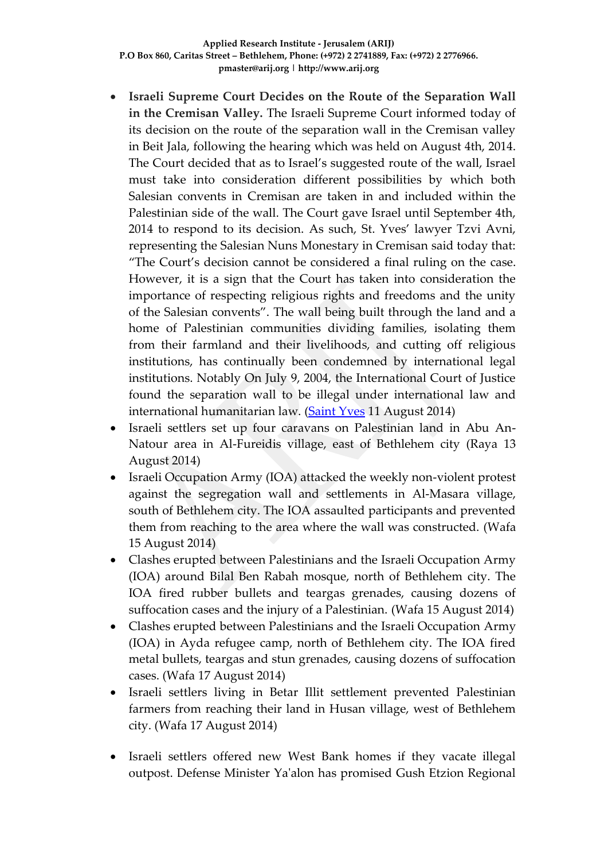- **Israeli Supreme Court Decides on the Route of the Separation Wall in the Cremisan Valley.** The Israeli Supreme Court informed today of its decision on the route of the separation wall in the Cremisan valley in Beit Jala, following the hearing which was held on August 4th, 2014. The Court decided that as to Israel's suggested route of the wall, Israel must take into consideration different possibilities by which both Salesian convents in Cremisan are taken in and included within the Palestinian side of the wall. The Court gave Israel until September 4th, 2014 to respond to its decision. As such, St. Yves' lawyer Tzvi Avni, representing the Salesian Nuns Monestary in Cremisan said today that: "The Court's decision cannot be considered a final ruling on the case. However, it is a sign that the Court has taken into consideration the importance of respecting religious rights and freedoms and the unity of the Salesian convents". The wall being built through the land and a home of Palestinian communities dividing families, isolating them from their farmland and their livelihoods, and cutting off religious institutions, has continually been condemned by international legal institutions. Notably On July 9, 2004, the International Court of Justice found the separation wall to be illegal under international law and international humanitarian law. [\(Saint Yves](http://mail.arij.org/service/home/~/Supreme%20Court%20Decision_Cremisan.pdf?auth=co&loc=en_US&id=6092&part=2) 11 August 2014)
- Israeli settlers set up four caravans on Palestinian land in Abu An-Natour area in Al-Fureidis village, east of Bethlehem city (Raya 13 August 2014)
- Israeli Occupation Army (IOA) attacked the weekly non-violent protest against the segregation wall and settlements in Al-Masara village, south of Bethlehem city. The IOA assaulted participants and prevented them from reaching to the area where the wall was constructed. (Wafa 15 August 2014)
- Clashes erupted between Palestinians and the Israeli Occupation Army (IOA) around Bilal Ben Rabah mosque, north of Bethlehem city. The IOA fired rubber bullets and teargas grenades, causing dozens of suffocation cases and the injury of a Palestinian. (Wafa 15 August 2014)
- Clashes erupted between Palestinians and the Israeli Occupation Army (IOA) in Ayda refugee camp, north of Bethlehem city. The IOA fired metal bullets, teargas and stun grenades, causing dozens of suffocation cases. (Wafa 17 August 2014)
- Israeli settlers living in Betar Illit settlement prevented Palestinian farmers from reaching their land in Husan village, west of Bethlehem city. (Wafa 17 August 2014)
- Israeli settlers offered new West Bank homes if they vacate illegal outpost. Defense Minister Ya'alon has promised Gush Etzion Regional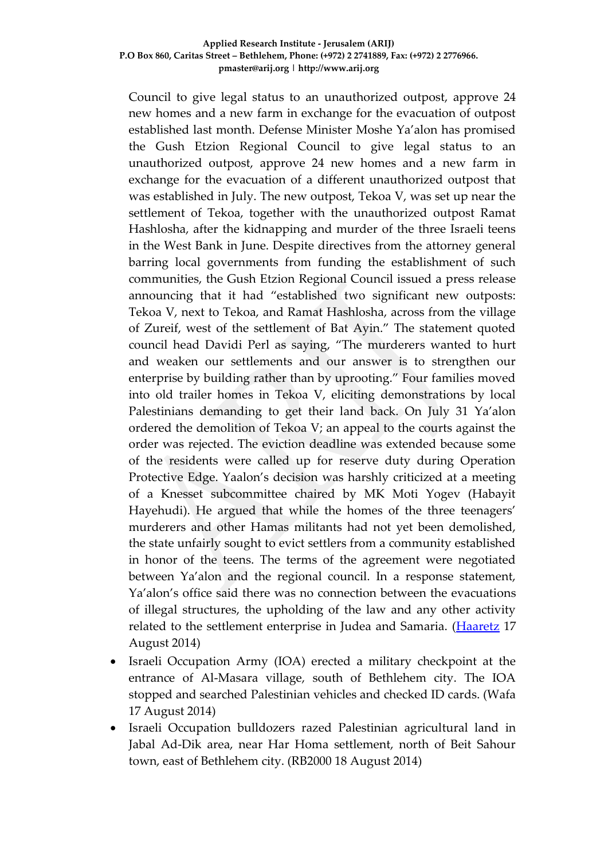Council to give legal status to an unauthorized outpost, approve 24 new homes and a new farm in exchange for the evacuation of outpost established last month. Defense Minister Moshe Ya'alon has promised the Gush Etzion Regional Council to give legal status to an unauthorized outpost, approve 24 new homes and a new farm in exchange for the evacuation of a different unauthorized outpost that was established in July. The new outpost, Tekoa V, was set up near the settlement of Tekoa, together with the unauthorized outpost Ramat Hashlosha, after the kidnapping and murder of the three Israeli teens in the West Bank in June. Despite directives from the attorney general barring local governments from funding the establishment of such communities, the Gush Etzion Regional Council issued a press release announcing that it had "established two significant new outposts: Tekoa V, next to Tekoa, and Ramat Hashlosha, across from the village of Zureif, west of the settlement of Bat Ayin." The statement quoted council head Davidi Perl as saying, "The murderers wanted to hurt and weaken our settlements and our answer is to strengthen our enterprise by building rather than by uprooting." Four families moved into old trailer homes in Tekoa V, eliciting demonstrations by local Palestinians demanding to get their land back. On July 31 Ya'alon ordered the demolition of Tekoa V; an appeal to the courts against the order was rejected. The eviction deadline was extended because some of the residents were called up for reserve duty during Operation Protective Edge. Yaalon's decision was harshly criticized at a meeting of a Knesset subcommittee chaired by MK Moti Yogev (Habayit Hayehudi). He argued that while the homes of the three teenagers' murderers and other Hamas militants had not yet been demolished, the state unfairly sought to evict settlers from a community established in honor of the teens. The terms of the agreement were negotiated between Ya'alon and the regional council. In a response statement, Ya'alon's office said there was no connection between the evacuations of illegal structures, the upholding of the law and any other activity related to the settlement enterprise in Judea and Samaria. [\(Haaretz](http://www.haaretz.com/news/diplomacy-defense/.premium-1.610901) 17 August 2014)

- Israeli Occupation Army (IOA) erected a military checkpoint at the entrance of Al-Masara village, south of Bethlehem city. The IOA stopped and searched Palestinian vehicles and checked ID cards. (Wafa 17 August 2014)
- Israeli Occupation bulldozers razed Palestinian agricultural land in Jabal Ad-Dik area, near Har Homa settlement, north of Beit Sahour town, east of Bethlehem city. (RB2000 18 August 2014)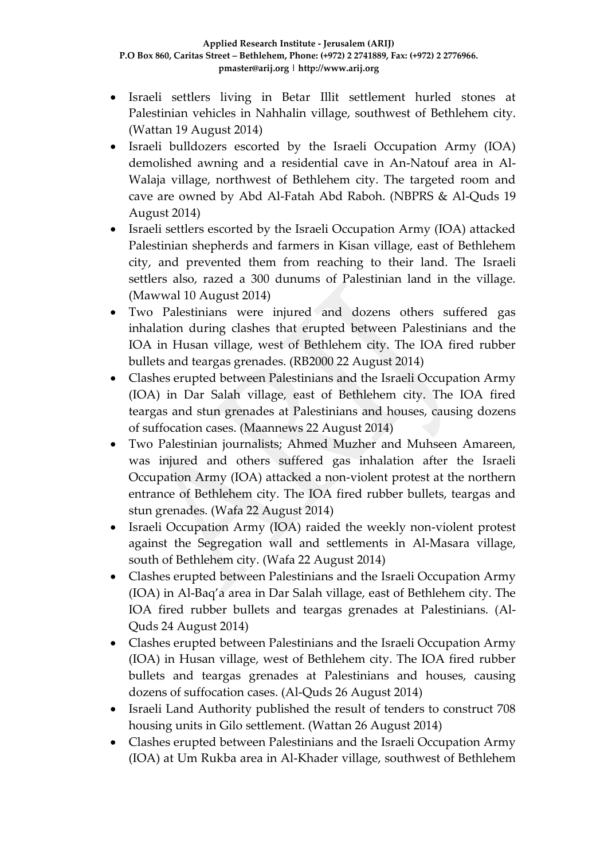- Israeli settlers living in Betar Illit settlement hurled stones at Palestinian vehicles in Nahhalin village, southwest of Bethlehem city. (Wattan 19 August 2014)
- Israeli bulldozers escorted by the Israeli Occupation Army (IOA) demolished awning and a residential cave in An-Natouf area in Al-Walaja village, northwest of Bethlehem city. The targeted room and cave are owned by Abd Al-Fatah Abd Raboh. (NBPRS & Al-Quds 19 August 2014)
- Israeli settlers escorted by the Israeli Occupation Army (IOA) attacked Palestinian shepherds and farmers in Kisan village, east of Bethlehem city, and prevented them from reaching to their land. The Israeli settlers also, razed a 300 dunums of Palestinian land in the village. (Mawwal 10 August 2014)
- Two Palestinians were injured and dozens others suffered gas inhalation during clashes that erupted between Palestinians and the IOA in Husan village, west of Bethlehem city. The IOA fired rubber bullets and teargas grenades. (RB2000 22 August 2014)
- Clashes erupted between Palestinians and the Israeli Occupation Army (IOA) in Dar Salah village, east of Bethlehem city. The IOA fired teargas and stun grenades at Palestinians and houses, causing dozens of suffocation cases. (Maannews 22 August 2014)
- Two Palestinian journalists; Ahmed Muzher and Muhseen Amareen, was injured and others suffered gas inhalation after the Israeli Occupation Army (IOA) attacked a non-violent protest at the northern entrance of Bethlehem city. The IOA fired rubber bullets, teargas and stun grenades. (Wafa 22 August 2014)
- Israeli Occupation Army (IOA) raided the weekly non-violent protest against the Segregation wall and settlements in Al-Masara village, south of Bethlehem city. (Wafa 22 August 2014)
- Clashes erupted between Palestinians and the Israeli Occupation Army (IOA) in Al-Baq'a area in Dar Salah village, east of Bethlehem city. The IOA fired rubber bullets and teargas grenades at Palestinians. (Al-Quds 24 August 2014)
- Clashes erupted between Palestinians and the Israeli Occupation Army (IOA) in Husan village, west of Bethlehem city. The IOA fired rubber bullets and teargas grenades at Palestinians and houses, causing dozens of suffocation cases. (Al-Quds 26 August 2014)
- Israeli Land Authority published the result of tenders to construct 708 housing units in Gilo settlement. (Wattan 26 August 2014)
- Clashes erupted between Palestinians and the Israeli Occupation Army (IOA) at Um Rukba area in Al-Khader village, southwest of Bethlehem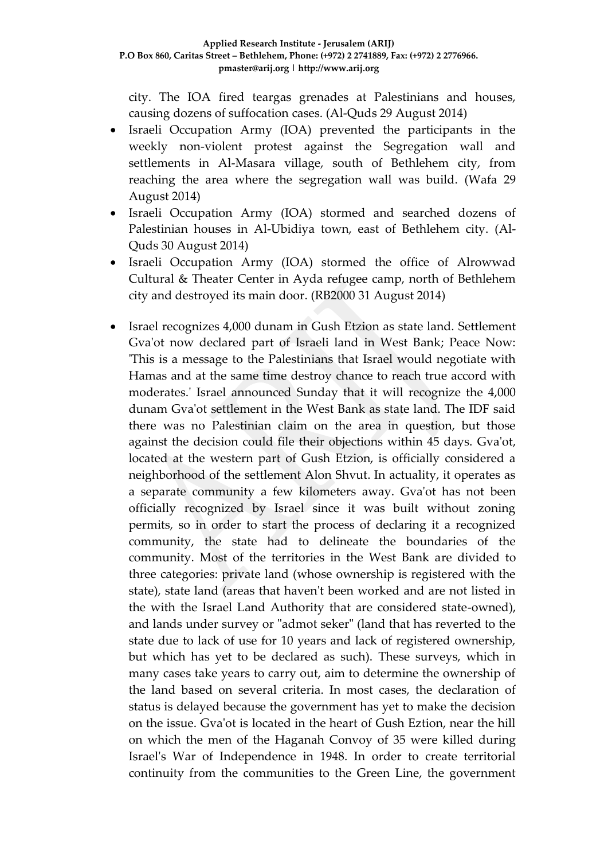city. The IOA fired teargas grenades at Palestinians and houses, causing dozens of suffocation cases. (Al-Quds 29 August 2014)

- Israeli Occupation Army (IOA) prevented the participants in the weekly non-violent protest against the Segregation wall and settlements in Al-Masara village, south of Bethlehem city, from reaching the area where the segregation wall was build. (Wafa 29 August 2014)
- Israeli Occupation Army (IOA) stormed and searched dozens of Palestinian houses in Al-Ubidiya town, east of Bethlehem city. (Al-Quds 30 August 2014)
- Israeli Occupation Army (IOA) stormed the office of Alrowwad Cultural & Theater Center in Ayda refugee camp, north of Bethlehem city and destroyed its main door. (RB2000 31 August 2014)
- Israel recognizes 4,000 dunam in Gush Etzion as state land. Settlement Gva'ot now declared part of Israeli land in West Bank; Peace Now: 'This is a message to the Palestinians that Israel would negotiate with Hamas and at the same time destroy chance to reach true accord with moderates.' Israel announced Sunday that it will recognize the 4,000 dunam Gva'ot settlement in the West Bank as state land. The IDF said there was no Palestinian claim on the area in question, but those against the decision could file their objections within 45 days. Gva'ot, located at the western part of Gush Etzion, is officially considered a neighborhood of the settlement Alon Shvut. In actuality, it operates as a separate community a few kilometers away. Gva'ot has not been officially recognized by Israel since it was built without zoning permits, so in order to start the process of declaring it a recognized community, the state had to delineate the boundaries of the community. Most of the territories in the West Bank are divided to three categories: private land (whose ownership is registered with the state), state land (areas that haven't been worked and are not listed in the with the Israel Land Authority that are considered state-owned), and lands under survey or "admot seker" (land that has reverted to the state due to lack of use for 10 years and lack of registered ownership, but which has yet to be declared as such). These surveys, which in many cases take years to carry out, aim to determine the ownership of the land based on several criteria. In most cases, the declaration of status is delayed because the government has yet to make the decision on the issue. Gva'ot is located in the heart of Gush Eztion, near the hill on which the men of the Haganah Convoy of 35 were killed during Israel's War of Independence in 1948. In order to create territorial continuity from the communities to the Green Line, the government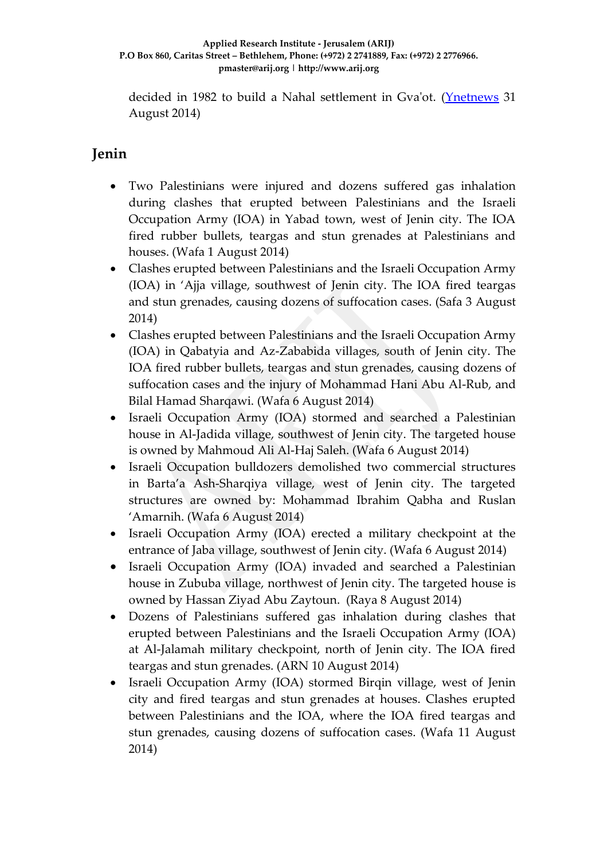decided in 1982 to build a Nahal settlement in Gva'ot. [\(Ynetnews](http://www.ynetnews.com/articles/0,7340,L-4565930,00.html) 31 August 2014)

## **Jenin**

- Two Palestinians were injured and dozens suffered gas inhalation during clashes that erupted between Palestinians and the Israeli Occupation Army (IOA) in Yabad town, west of Jenin city. The IOA fired rubber bullets, teargas and stun grenades at Palestinians and houses. (Wafa 1 August 2014)
- Clashes erupted between Palestinians and the Israeli Occupation Army (IOA) in 'Ajja village, southwest of Jenin city. The IOA fired teargas and stun grenades, causing dozens of suffocation cases. (Safa 3 August 2014)
- Clashes erupted between Palestinians and the Israeli Occupation Army (IOA) in Qabatyia and Az-Zababida villages, south of Jenin city. The IOA fired rubber bullets, teargas and stun grenades, causing dozens of suffocation cases and the injury of Mohammad Hani Abu Al-Rub, and Bilal Hamad Sharqawi. (Wafa 6 August 2014)
- Israeli Occupation Army (IOA) stormed and searched a Palestinian house in Al-Jadida village, southwest of Jenin city. The targeted house is owned by Mahmoud Ali Al-Haj Saleh. (Wafa 6 August 2014)
- Israeli Occupation bulldozers demolished two commercial structures in Barta'a Ash-Sharqiya village, west of Jenin city. The targeted structures are owned by: Mohammad Ibrahim Qabha and Ruslan 'Amarnih. (Wafa 6 August 2014)
- Israeli Occupation Army (IOA) erected a military checkpoint at the entrance of Jaba village, southwest of Jenin city. (Wafa 6 August 2014)
- Israeli Occupation Army (IOA) invaded and searched a Palestinian house in Zububa village, northwest of Jenin city. The targeted house is owned by Hassan Ziyad Abu Zaytoun. (Raya 8 August 2014)
- Dozens of Palestinians suffered gas inhalation during clashes that erupted between Palestinians and the Israeli Occupation Army (IOA) at Al-Jalamah military checkpoint, north of Jenin city. The IOA fired teargas and stun grenades. (ARN 10 August 2014)
- Israeli Occupation Army (IOA) stormed Birqin village, west of Jenin city and fired teargas and stun grenades at houses. Clashes erupted between Palestinians and the IOA, where the IOA fired teargas and stun grenades, causing dozens of suffocation cases. (Wafa 11 August 2014)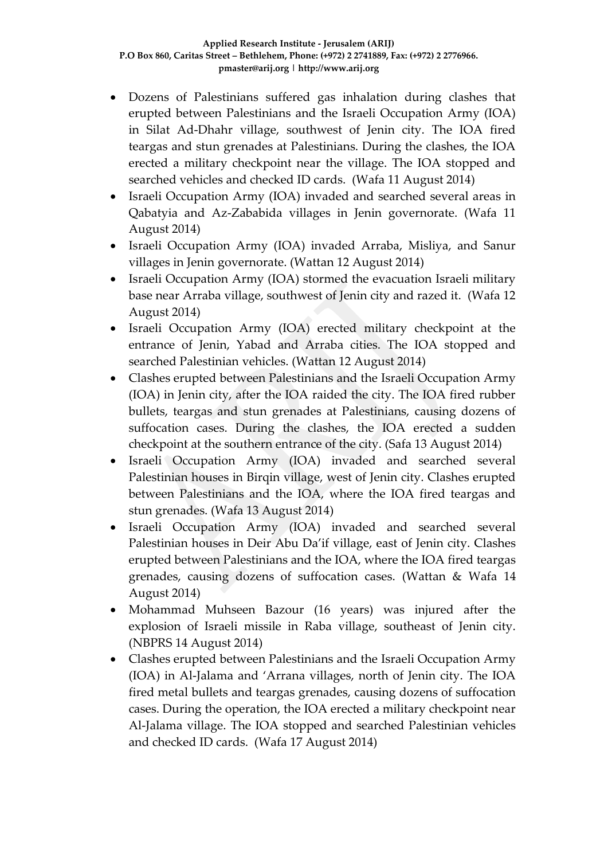- Dozens of Palestinians suffered gas inhalation during clashes that erupted between Palestinians and the Israeli Occupation Army (IOA) in Silat Ad-Dhahr village, southwest of Jenin city. The IOA fired teargas and stun grenades at Palestinians. During the clashes, the IOA erected a military checkpoint near the village. The IOA stopped and searched vehicles and checked ID cards. (Wafa 11 August 2014)
- Israeli Occupation Army (IOA) invaded and searched several areas in Qabatyia and Az-Zababida villages in Jenin governorate. (Wafa 11 August 2014)
- Israeli Occupation Army (IOA) invaded Arraba, Misliya, and Sanur villages in Jenin governorate. (Wattan 12 August 2014)
- Israeli Occupation Army (IOA) stormed the evacuation Israeli military base near Arraba village, southwest of Jenin city and razed it. (Wafa 12 August 2014)
- Israeli Occupation Army (IOA) erected military checkpoint at the entrance of Jenin, Yabad and Arraba cities. The IOA stopped and searched Palestinian vehicles. (Wattan 12 August 2014)
- Clashes erupted between Palestinians and the Israeli Occupation Army (IOA) in Jenin city, after the IOA raided the city. The IOA fired rubber bullets, teargas and stun grenades at Palestinians, causing dozens of suffocation cases. During the clashes, the IOA erected a sudden checkpoint at the southern entrance of the city. (Safa 13 August 2014)
- Israeli Occupation Army (IOA) invaded and searched several Palestinian houses in Birqin village, west of Jenin city. Clashes erupted between Palestinians and the IOA, where the IOA fired teargas and stun grenades. (Wafa 13 August 2014)
- Israeli Occupation Army (IOA) invaded and searched several Palestinian houses in Deir Abu Da'if village, east of Jenin city. Clashes erupted between Palestinians and the IOA, where the IOA fired teargas grenades, causing dozens of suffocation cases. (Wattan & Wafa 14 August 2014)
- Mohammad Muhseen Bazour (16 years) was injured after the explosion of Israeli missile in Raba village, southeast of Jenin city. (NBPRS 14 August 2014)
- Clashes erupted between Palestinians and the Israeli Occupation Army (IOA) in Al-Jalama and 'Arrana villages, north of Jenin city. The IOA fired metal bullets and teargas grenades, causing dozens of suffocation cases. During the operation, the IOA erected a military checkpoint near Al-Jalama village. The IOA stopped and searched Palestinian vehicles and checked ID cards. (Wafa 17 August 2014)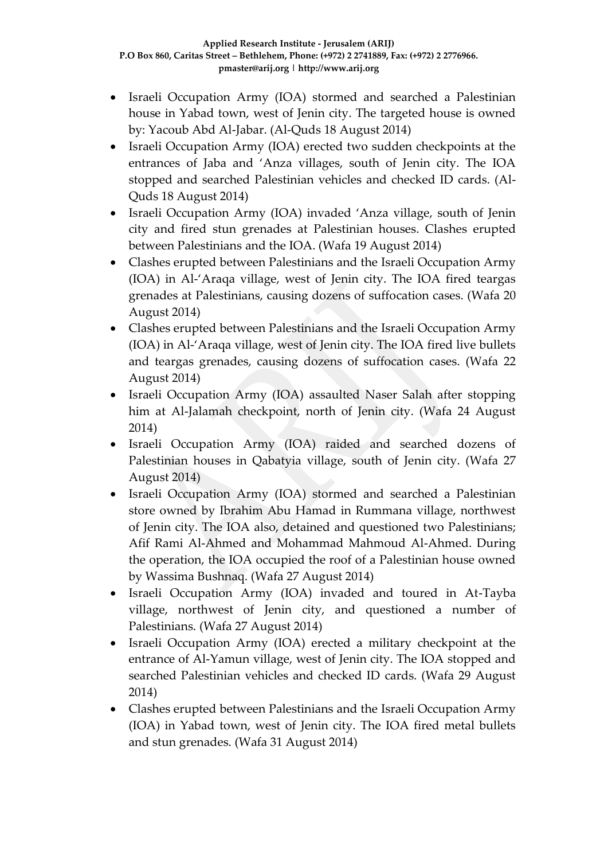- Israeli Occupation Army (IOA) stormed and searched a Palestinian house in Yabad town, west of Jenin city. The targeted house is owned by: Yacoub Abd Al-Jabar. (Al-Quds 18 August 2014)
- Israeli Occupation Army (IOA) erected two sudden checkpoints at the entrances of Jaba and 'Anza villages, south of Jenin city. The IOA stopped and searched Palestinian vehicles and checked ID cards. (Al-Quds 18 August 2014)
- Israeli Occupation Army (IOA) invaded 'Anza village, south of Jenin city and fired stun grenades at Palestinian houses. Clashes erupted between Palestinians and the IOA. (Wafa 19 August 2014)
- Clashes erupted between Palestinians and the Israeli Occupation Army (IOA) in Al-'Araqa village, west of Jenin city. The IOA fired teargas grenades at Palestinians, causing dozens of suffocation cases. (Wafa 20 August 2014)
- Clashes erupted between Palestinians and the Israeli Occupation Army (IOA) in Al-'Araqa village, west of Jenin city. The IOA fired live bullets and teargas grenades, causing dozens of suffocation cases. (Wafa 22 August 2014)
- Israeli Occupation Army (IOA) assaulted Naser Salah after stopping him at Al-Jalamah checkpoint, north of Jenin city. (Wafa 24 August 2014)
- Israeli Occupation Army (IOA) raided and searched dozens of Palestinian houses in Qabatyia village, south of Jenin city. (Wafa 27 August 2014)
- Israeli Occupation Army (IOA) stormed and searched a Palestinian store owned by Ibrahim Abu Hamad in Rummana village, northwest of Jenin city. The IOA also, detained and questioned two Palestinians; Afif Rami Al-Ahmed and Mohammad Mahmoud Al-Ahmed. During the operation, the IOA occupied the roof of a Palestinian house owned by Wassima Bushnaq. (Wafa 27 August 2014)
- Israeli Occupation Army (IOA) invaded and toured in At-Tayba village, northwest of Jenin city, and questioned a number of Palestinians. (Wafa 27 August 2014)
- Israeli Occupation Army (IOA) erected a military checkpoint at the entrance of Al-Yamun village, west of Jenin city. The IOA stopped and searched Palestinian vehicles and checked ID cards. (Wafa 29 August 2014)
- Clashes erupted between Palestinians and the Israeli Occupation Army (IOA) in Yabad town, west of Jenin city. The IOA fired metal bullets and stun grenades. (Wafa 31 August 2014)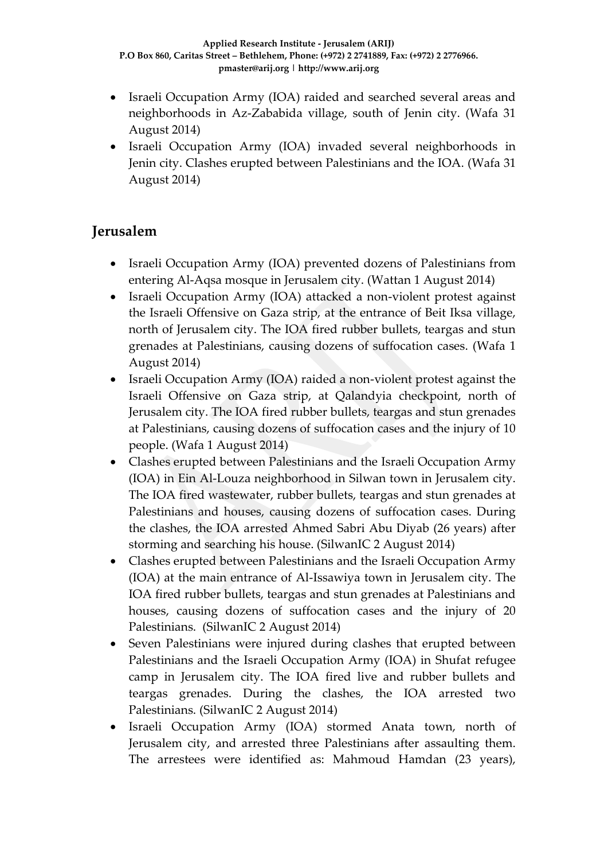- Israeli Occupation Army (IOA) raided and searched several areas and neighborhoods in Az-Zababida village, south of Jenin city. (Wafa 31 August 2014)
- Israeli Occupation Army (IOA) invaded several neighborhoods in Jenin city. Clashes erupted between Palestinians and the IOA. (Wafa 31 August 2014)

### **Jerusalem**

- Israeli Occupation Army (IOA) prevented dozens of Palestinians from entering Al-Aqsa mosque in Jerusalem city. (Wattan 1 August 2014)
- Israeli Occupation Army (IOA) attacked a non-violent protest against the Israeli Offensive on Gaza strip, at the entrance of Beit Iksa village, north of Jerusalem city. The IOA fired rubber bullets, teargas and stun grenades at Palestinians, causing dozens of suffocation cases. (Wafa 1 August 2014)
- Israeli Occupation Army (IOA) raided a non-violent protest against the Israeli Offensive on Gaza strip, at Qalandyia checkpoint, north of Jerusalem city. The IOA fired rubber bullets, teargas and stun grenades at Palestinians, causing dozens of suffocation cases and the injury of 10 people. (Wafa 1 August 2014)
- Clashes erupted between Palestinians and the Israeli Occupation Army (IOA) in Ein Al-Louza neighborhood in Silwan town in Jerusalem city. The IOA fired wastewater, rubber bullets, teargas and stun grenades at Palestinians and houses, causing dozens of suffocation cases. During the clashes, the IOA arrested Ahmed Sabri Abu Diyab (26 years) after storming and searching his house. (SilwanIC 2 August 2014)
- Clashes erupted between Palestinians and the Israeli Occupation Army (IOA) at the main entrance of Al-Issawiya town in Jerusalem city. The IOA fired rubber bullets, teargas and stun grenades at Palestinians and houses, causing dozens of suffocation cases and the injury of 20 Palestinians. (SilwanIC 2 August 2014)
- Seven Palestinians were injured during clashes that erupted between Palestinians and the Israeli Occupation Army (IOA) in Shufat refugee camp in Jerusalem city. The IOA fired live and rubber bullets and teargas grenades. During the clashes, the IOA arrested two Palestinians. (SilwanIC 2 August 2014)
- Israeli Occupation Army (IOA) stormed Anata town, north of Jerusalem city, and arrested three Palestinians after assaulting them. The arrestees were identified as: Mahmoud Hamdan (23 years),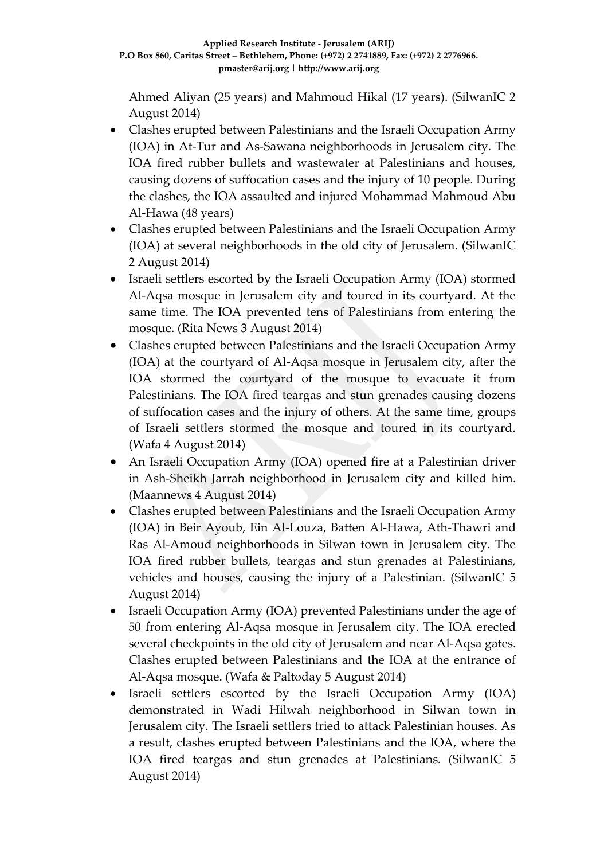Ahmed Aliyan (25 years) and Mahmoud Hikal (17 years). (SilwanIC 2 August 2014)

- Clashes erupted between Palestinians and the Israeli Occupation Army (IOA) in At-Tur and As-Sawana neighborhoods in Jerusalem city. The IOA fired rubber bullets and wastewater at Palestinians and houses, causing dozens of suffocation cases and the injury of 10 people. During the clashes, the IOA assaulted and injured Mohammad Mahmoud Abu Al-Hawa (48 years)
- Clashes erupted between Palestinians and the Israeli Occupation Army (IOA) at several neighborhoods in the old city of Jerusalem. (SilwanIC 2 August 2014)
- Israeli settlers escorted by the Israeli Occupation Army (IOA) stormed Al-Aqsa mosque in Jerusalem city and toured in its courtyard. At the same time. The IOA prevented tens of Palestinians from entering the mosque. (Rita News 3 August 2014)
- Clashes erupted between Palestinians and the Israeli Occupation Army (IOA) at the courtyard of Al-Aqsa mosque in Jerusalem city, after the IOA stormed the courtyard of the mosque to evacuate it from Palestinians. The IOA fired teargas and stun grenades causing dozens of suffocation cases and the injury of others. At the same time, groups of Israeli settlers stormed the mosque and toured in its courtyard. (Wafa 4 August 2014)
- An Israeli Occupation Army (IOA) opened fire at a Palestinian driver in Ash-Sheikh Jarrah neighborhood in Jerusalem city and killed him. (Maannews 4 August 2014)
- Clashes erupted between Palestinians and the Israeli Occupation Army (IOA) in Beir Ayoub, Ein Al-Louza, Batten Al-Hawa, Ath-Thawri and Ras Al-Amoud neighborhoods in Silwan town in Jerusalem city. The IOA fired rubber bullets, teargas and stun grenades at Palestinians, vehicles and houses, causing the injury of a Palestinian. (SilwanIC 5 August 2014)
- Israeli Occupation Army (IOA) prevented Palestinians under the age of 50 from entering Al-Aqsa mosque in Jerusalem city. The IOA erected several checkpoints in the old city of Jerusalem and near Al-Aqsa gates. Clashes erupted between Palestinians and the IOA at the entrance of Al-Aqsa mosque. (Wafa & Paltoday 5 August 2014)
- Israeli settlers escorted by the Israeli Occupation Army (IOA) demonstrated in Wadi Hilwah neighborhood in Silwan town in Jerusalem city. The Israeli settlers tried to attack Palestinian houses. As a result, clashes erupted between Palestinians and the IOA, where the IOA fired teargas and stun grenades at Palestinians. (SilwanIC 5 August 2014)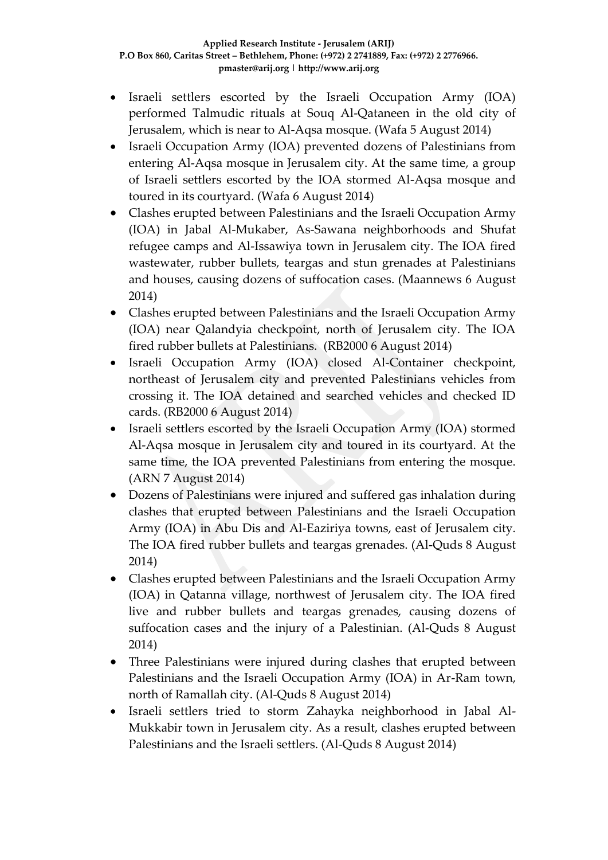- Israeli settlers escorted by the Israeli Occupation Army (IOA) performed Talmudic rituals at Souq Al-Qataneen in the old city of Jerusalem, which is near to Al-Aqsa mosque. (Wafa 5 August 2014)
- Israeli Occupation Army (IOA) prevented dozens of Palestinians from entering Al-Aqsa mosque in Jerusalem city. At the same time, a group of Israeli settlers escorted by the IOA stormed Al-Aqsa mosque and toured in its courtyard. (Wafa 6 August 2014)
- Clashes erupted between Palestinians and the Israeli Occupation Army (IOA) in Jabal Al-Mukaber, As-Sawana neighborhoods and Shufat refugee camps and Al-Issawiya town in Jerusalem city. The IOA fired wastewater, rubber bullets, teargas and stun grenades at Palestinians and houses, causing dozens of suffocation cases. (Maannews 6 August 2014)
- Clashes erupted between Palestinians and the Israeli Occupation Army (IOA) near Qalandyia checkpoint, north of Jerusalem city. The IOA fired rubber bullets at Palestinians. (RB2000 6 August 2014)
- Israeli Occupation Army (IOA) closed Al-Container checkpoint, northeast of Jerusalem city and prevented Palestinians vehicles from crossing it. The IOA detained and searched vehicles and checked ID cards. (RB2000 6 August 2014)
- Israeli settlers escorted by the Israeli Occupation Army (IOA) stormed Al-Aqsa mosque in Jerusalem city and toured in its courtyard. At the same time, the IOA prevented Palestinians from entering the mosque. (ARN 7 August 2014)
- Dozens of Palestinians were injured and suffered gas inhalation during clashes that erupted between Palestinians and the Israeli Occupation Army (IOA) in Abu Dis and Al-Eaziriya towns, east of Jerusalem city. The IOA fired rubber bullets and teargas grenades. (Al-Quds 8 August 2014)
- Clashes erupted between Palestinians and the Israeli Occupation Army (IOA) in Qatanna village, northwest of Jerusalem city. The IOA fired live and rubber bullets and teargas grenades, causing dozens of suffocation cases and the injury of a Palestinian. (Al-Quds 8 August 2014)
- Three Palestinians were injured during clashes that erupted between Palestinians and the Israeli Occupation Army (IOA) in Ar-Ram town, north of Ramallah city. (Al-Quds 8 August 2014)
- Israeli settlers tried to storm Zahayka neighborhood in Jabal Al-Mukkabir town in Jerusalem city. As a result, clashes erupted between Palestinians and the Israeli settlers. (Al-Quds 8 August 2014)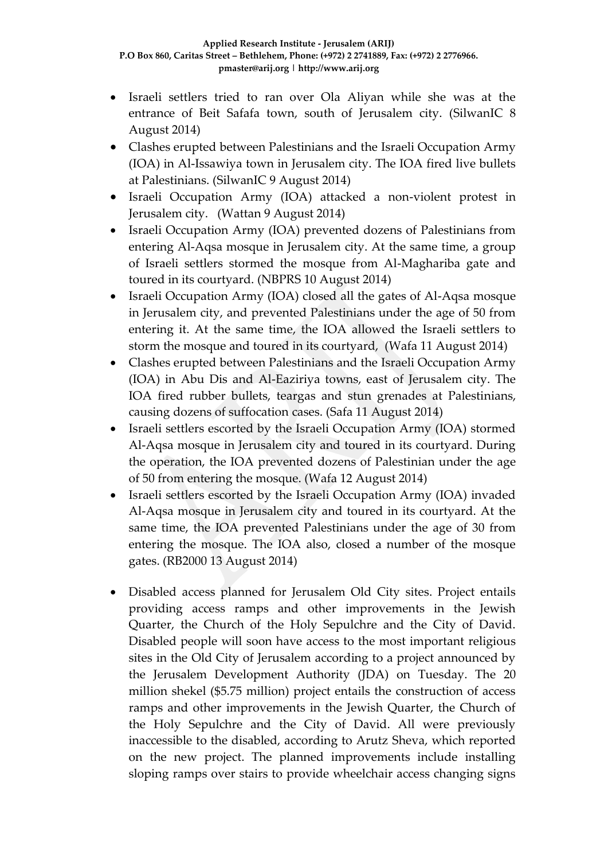- Israeli settlers tried to ran over Ola Aliyan while she was at the entrance of Beit Safafa town, south of Jerusalem city. (SilwanIC 8 August 2014)
- Clashes erupted between Palestinians and the Israeli Occupation Army (IOA) in Al-Issawiya town in Jerusalem city. The IOA fired live bullets at Palestinians. (SilwanIC 9 August 2014)
- Israeli Occupation Army (IOA) attacked a non-violent protest in Jerusalem city. (Wattan 9 August 2014)
- Israeli Occupation Army (IOA) prevented dozens of Palestinians from entering Al-Aqsa mosque in Jerusalem city. At the same time, a group of Israeli settlers stormed the mosque from Al-Maghariba gate and toured in its courtyard. (NBPRS 10 August 2014)
- Israeli Occupation Army (IOA) closed all the gates of Al-Aqsa mosque in Jerusalem city, and prevented Palestinians under the age of 50 from entering it. At the same time, the IOA allowed the Israeli settlers to storm the mosque and toured in its courtyard, (Wafa 11 August 2014)
- Clashes erupted between Palestinians and the Israeli Occupation Army (IOA) in Abu Dis and Al-Eaziriya towns, east of Jerusalem city. The IOA fired rubber bullets, teargas and stun grenades at Palestinians, causing dozens of suffocation cases. (Safa 11 August 2014)
- Israeli settlers escorted by the Israeli Occupation Army (IOA) stormed Al-Aqsa mosque in Jerusalem city and toured in its courtyard. During the operation, the IOA prevented dozens of Palestinian under the age of 50 from entering the mosque. (Wafa 12 August 2014)
- Israeli settlers escorted by the Israeli Occupation Army (IOA) invaded Al-Aqsa mosque in Jerusalem city and toured in its courtyard. At the same time, the IOA prevented Palestinians under the age of 30 from entering the mosque. The IOA also, closed a number of the mosque gates. (RB2000 13 August 2014)
- Disabled access planned for Jerusalem Old City sites. Project entails providing access ramps and other improvements in the Jewish Quarter, the Church of the Holy Sepulchre and the City of David. Disabled people will soon have access to the most important religious sites in the Old City of Jerusalem according to a project announced by the Jerusalem Development Authority (JDA) on Tuesday. The 20 million shekel (\$5.75 million) project entails the construction of access ramps and other improvements in the Jewish Quarter, the Church of the Holy Sepulchre and the City of David. All were previously inaccessible to the disabled, according to Arutz Sheva, which reported on the new project. The planned improvements include installing sloping ramps over stairs to provide wheelchair access changing signs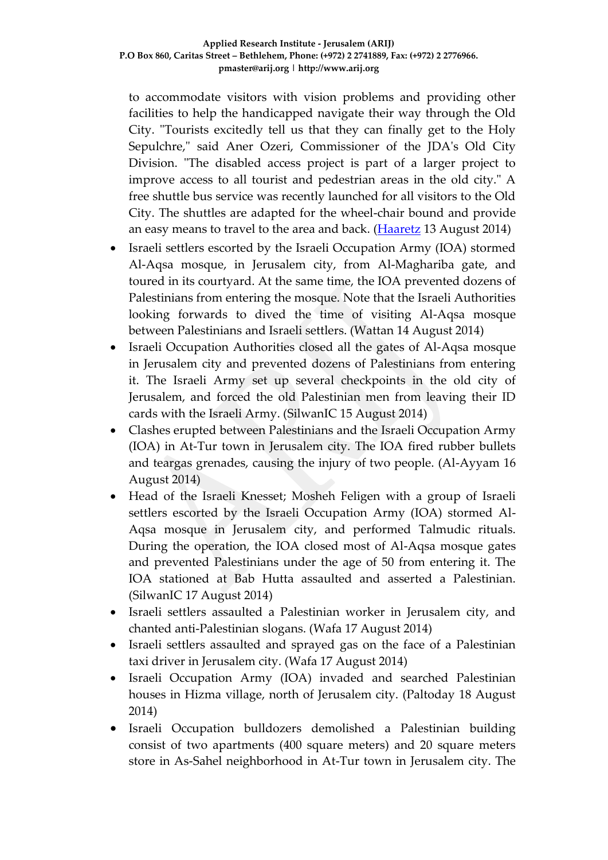to accommodate visitors with vision problems and providing other facilities to help the handicapped navigate their way through the Old City. "Tourists excitedly tell us that they can finally get to the Holy Sepulchre," said Aner Ozeri, Commissioner of the JDA's Old City Division. "The disabled access project is part of a larger project to improve access to all tourist and pedestrian areas in the old city." A free shuttle bus service was recently launched for all visitors to the Old City. The shuttles are adapted for the wheel-chair bound and provide an easy means to travel to the area and back. [\(Haaretz](http://www.haaretz.com/news/national/1.610165) 13 August 2014)

- Israeli settlers escorted by the Israeli Occupation Army (IOA) stormed Al-Aqsa mosque, in Jerusalem city, from Al-Maghariba gate, and toured in its courtyard. At the same time, the IOA prevented dozens of Palestinians from entering the mosque. Note that the Israeli Authorities looking forwards to dived the time of visiting Al-Aqsa mosque between Palestinians and Israeli settlers. (Wattan 14 August 2014)
- Israeli Occupation Authorities closed all the gates of Al-Aqsa mosque in Jerusalem city and prevented dozens of Palestinians from entering it. The Israeli Army set up several checkpoints in the old city of Jerusalem, and forced the old Palestinian men from leaving their ID cards with the Israeli Army. (SilwanIC 15 August 2014)
- Clashes erupted between Palestinians and the Israeli Occupation Army (IOA) in At-Tur town in Jerusalem city. The IOA fired rubber bullets and teargas grenades, causing the injury of two people. (Al-Ayyam 16 August 2014)
- Head of the Israeli Knesset; Mosheh Feligen with a group of Israeli settlers escorted by the Israeli Occupation Army (IOA) stormed Al-Aqsa mosque in Jerusalem city, and performed Talmudic rituals. During the operation, the IOA closed most of Al-Aqsa mosque gates and prevented Palestinians under the age of 50 from entering it. The IOA stationed at Bab Hutta assaulted and asserted a Palestinian. (SilwanIC 17 August 2014)
- Israeli settlers assaulted a Palestinian worker in Jerusalem city, and chanted anti-Palestinian slogans. (Wafa 17 August 2014)
- Israeli settlers assaulted and sprayed gas on the face of a Palestinian taxi driver in Jerusalem city. (Wafa 17 August 2014)
- Israeli Occupation Army (IOA) invaded and searched Palestinian houses in Hizma village, north of Jerusalem city. (Paltoday 18 August 2014)
- Israeli Occupation bulldozers demolished a Palestinian building consist of two apartments (400 square meters) and 20 square meters store in As-Sahel neighborhood in At-Tur town in Jerusalem city. The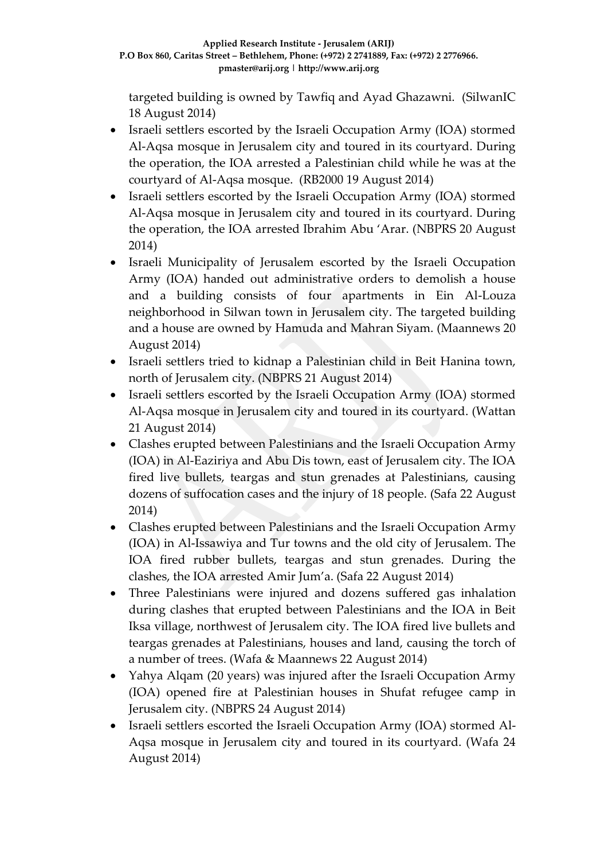targeted building is owned by Tawfiq and Ayad Ghazawni. (SilwanIC 18 August 2014)

- Israeli settlers escorted by the Israeli Occupation Army (IOA) stormed Al-Aqsa mosque in Jerusalem city and toured in its courtyard. During the operation, the IOA arrested a Palestinian child while he was at the courtyard of Al-Aqsa mosque. (RB2000 19 August 2014)
- Israeli settlers escorted by the Israeli Occupation Army (IOA) stormed Al-Aqsa mosque in Jerusalem city and toured in its courtyard. During the operation, the IOA arrested Ibrahim Abu 'Arar. (NBPRS 20 August 2014)
- Israeli Municipality of Jerusalem escorted by the Israeli Occupation Army (IOA) handed out administrative orders to demolish a house and a building consists of four apartments in Ein Al-Louza neighborhood in Silwan town in Jerusalem city. The targeted building and a house are owned by Hamuda and Mahran Siyam. (Maannews 20 August 2014)
- Israeli settlers tried to kidnap a Palestinian child in Beit Hanina town, north of Jerusalem city. (NBPRS 21 August 2014)
- Israeli settlers escorted by the Israeli Occupation Army (IOA) stormed Al-Aqsa mosque in Jerusalem city and toured in its courtyard. (Wattan 21 August 2014)
- Clashes erupted between Palestinians and the Israeli Occupation Army (IOA) in Al-Eaziriya and Abu Dis town, east of Jerusalem city. The IOA fired live bullets, teargas and stun grenades at Palestinians, causing dozens of suffocation cases and the injury of 18 people. (Safa 22 August 2014)
- Clashes erupted between Palestinians and the Israeli Occupation Army (IOA) in Al-Issawiya and Tur towns and the old city of Jerusalem. The IOA fired rubber bullets, teargas and stun grenades. During the clashes, the IOA arrested Amir Jum'a. (Safa 22 August 2014)
- Three Palestinians were injured and dozens suffered gas inhalation during clashes that erupted between Palestinians and the IOA in Beit Iksa village, northwest of Jerusalem city. The IOA fired live bullets and teargas grenades at Palestinians, houses and land, causing the torch of a number of trees. (Wafa & Maannews 22 August 2014)
- Yahya Alqam (20 years) was injured after the Israeli Occupation Army (IOA) opened fire at Palestinian houses in Shufat refugee camp in Jerusalem city. (NBPRS 24 August 2014)
- Israeli settlers escorted the Israeli Occupation Army (IOA) stormed Al-Aqsa mosque in Jerusalem city and toured in its courtyard. (Wafa 24 August 2014)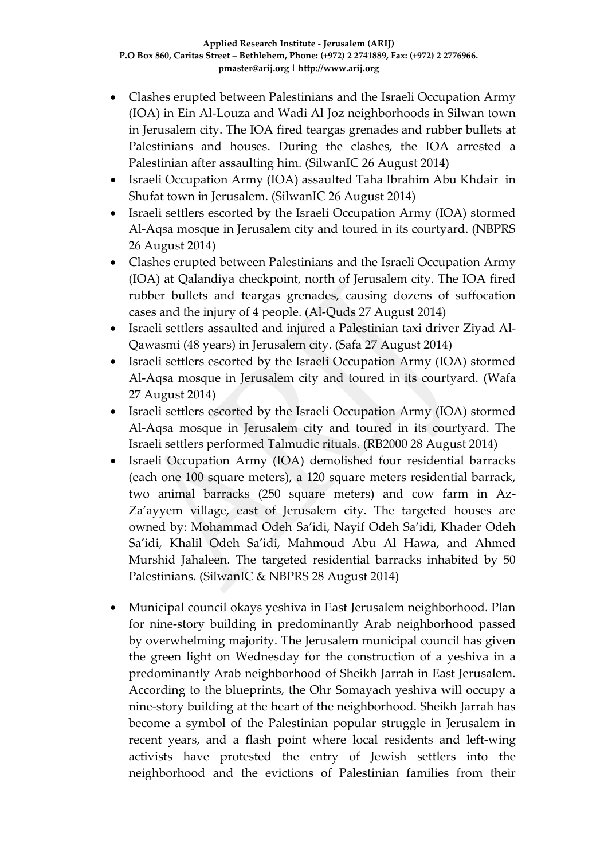- Clashes erupted between Palestinians and the Israeli Occupation Army (IOA) in Ein Al-Louza and Wadi Al Joz neighborhoods in Silwan town in Jerusalem city. The IOA fired teargas grenades and rubber bullets at Palestinians and houses. During the clashes, the IOA arrested a Palestinian after assaulting him. (SilwanIC 26 August 2014)
- Israeli Occupation Army (IOA) assaulted Taha Ibrahim Abu Khdair in Shufat town in Jerusalem. (SilwanIC 26 August 2014)
- Israeli settlers escorted by the Israeli Occupation Army (IOA) stormed Al-Aqsa mosque in Jerusalem city and toured in its courtyard. (NBPRS 26 August 2014)
- Clashes erupted between Palestinians and the Israeli Occupation Army (IOA) at Qalandiya checkpoint, north of Jerusalem city. The IOA fired rubber bullets and teargas grenades, causing dozens of suffocation cases and the injury of 4 people. (Al-Quds 27 August 2014)
- Israeli settlers assaulted and injured a Palestinian taxi driver Ziyad Al-Qawasmi (48 years) in Jerusalem city. (Safa 27 August 2014)
- Israeli settlers escorted by the Israeli Occupation Army (IOA) stormed Al-Aqsa mosque in Jerusalem city and toured in its courtyard. (Wafa 27 August 2014)
- Israeli settlers escorted by the Israeli Occupation Army (IOA) stormed Al-Aqsa mosque in Jerusalem city and toured in its courtyard. The Israeli settlers performed Talmudic rituals. (RB2000 28 August 2014)
- Israeli Occupation Army (IOA) demolished four residential barracks (each one 100 square meters), a 120 square meters residential barrack, two animal barracks (250 square meters) and cow farm in Az-Za'ayyem village, east of Jerusalem city. The targeted houses are owned by: Mohammad Odeh Sa'idi, Nayif Odeh Sa'idi, Khader Odeh Sa'idi, Khalil Odeh Sa'idi, Mahmoud Abu Al Hawa, and Ahmed Murshid Jahaleen. The targeted residential barracks inhabited by 50 Palestinians. (SilwanIC & NBPRS 28 August 2014)
- Municipal council okays yeshiva in East Jerusalem neighborhood. Plan for nine-story building in predominantly Arab neighborhood passed by overwhelming majority. The Jerusalem municipal council has given the green light on Wednesday for the construction of a yeshiva in a predominantly Arab neighborhood of Sheikh Jarrah in East Jerusalem. According to the blueprints, the Ohr Somayach yeshiva will occupy a nine-story building at the heart of the neighborhood. Sheikh Jarrah has become a symbol of the Palestinian popular struggle in Jerusalem in recent years, and a flash point where local residents and left-wing activists have protested the entry of Jewish settlers into the neighborhood and the evictions of Palestinian families from their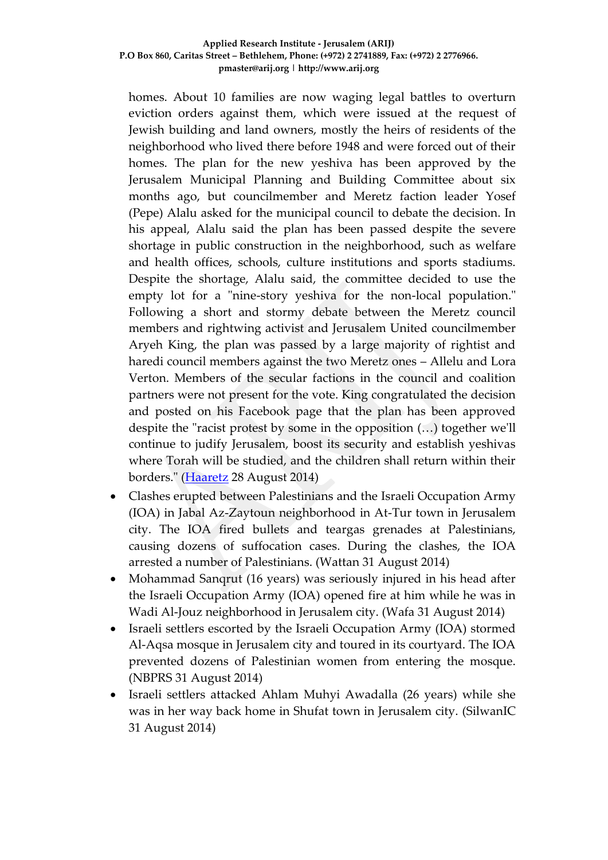homes. About 10 families are now waging legal battles to overturn eviction orders against them, which were issued at the request of Jewish building and land owners, mostly the heirs of residents of the neighborhood who lived there before 1948 and were forced out of their homes. The plan for the new yeshiva has been approved by the Jerusalem Municipal Planning and Building Committee about six months ago, but councilmember and Meretz faction leader Yosef (Pepe) Alalu asked for the municipal council to debate the decision. In his appeal, Alalu said the plan has been passed despite the severe shortage in public construction in the neighborhood, such as welfare and health offices, schools, culture institutions and sports stadiums. Despite the shortage, Alalu said, the committee decided to use the empty lot for a "nine-story yeshiva for the non-local population." Following a short and stormy debate between the Meretz council members and rightwing activist and Jerusalem United councilmember Aryeh King, the plan was passed by a large majority of rightist and haredi council members against the two Meretz ones – Allelu and Lora Verton. Members of the secular factions in the council and coalition partners were not present for the vote. King congratulated the decision and posted on his Facebook page that the plan has been approved despite the "racist protest by some in the opposition (…) together we'll continue to judify Jerusalem, boost its security and establish yeshivas where Torah will be studied, and the children shall return within their borders." [\(Haaretz](http://www.haaretz.com/news/national/.premium-1.612820) 28 August 2014)

- Clashes erupted between Palestinians and the Israeli Occupation Army (IOA) in Jabal Az-Zaytoun neighborhood in At-Tur town in Jerusalem city. The IOA fired bullets and teargas grenades at Palestinians, causing dozens of suffocation cases. During the clashes, the IOA arrested a number of Palestinians. (Wattan 31 August 2014)
- Mohammad Sanqrut (16 years) was seriously injured in his head after the Israeli Occupation Army (IOA) opened fire at him while he was in Wadi Al-Jouz neighborhood in Jerusalem city. (Wafa 31 August 2014)
- Israeli settlers escorted by the Israeli Occupation Army (IOA) stormed Al-Aqsa mosque in Jerusalem city and toured in its courtyard. The IOA prevented dozens of Palestinian women from entering the mosque. (NBPRS 31 August 2014)
- Israeli settlers attacked Ahlam Muhyi Awadalla (26 years) while she was in her way back home in Shufat town in Jerusalem city. (SilwanIC 31 August 2014)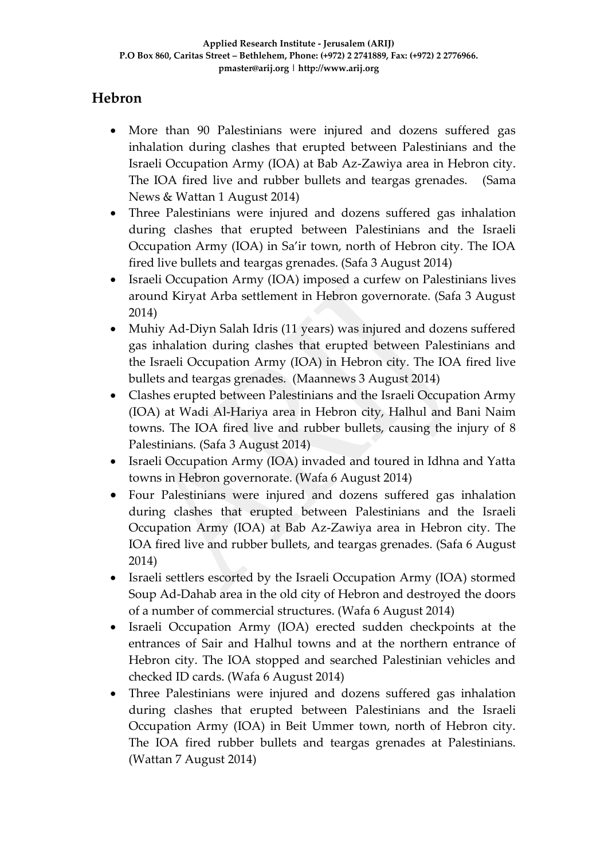### **Hebron**

- More than 90 Palestinians were injured and dozens suffered gas inhalation during clashes that erupted between Palestinians and the Israeli Occupation Army (IOA) at Bab Az-Zawiya area in Hebron city. The IOA fired live and rubber bullets and teargas grenades. (Sama News & Wattan 1 August 2014)
- Three Palestinians were injured and dozens suffered gas inhalation during clashes that erupted between Palestinians and the Israeli Occupation Army (IOA) in Sa'ir town, north of Hebron city. The IOA fired live bullets and teargas grenades. (Safa 3 August 2014)
- Israeli Occupation Army (IOA) imposed a curfew on Palestinians lives around Kiryat Arba settlement in Hebron governorate. (Safa 3 August 2014)
- Muhiy Ad-Diyn Salah Idris (11 years) was injured and dozens suffered gas inhalation during clashes that erupted between Palestinians and the Israeli Occupation Army (IOA) in Hebron city. The IOA fired live bullets and teargas grenades. (Maannews 3 August 2014)
- Clashes erupted between Palestinians and the Israeli Occupation Army (IOA) at Wadi Al-Hariya area in Hebron city, Halhul and Bani Naim towns. The IOA fired live and rubber bullets, causing the injury of 8 Palestinians. (Safa 3 August 2014)
- Israeli Occupation Army (IOA) invaded and toured in Idhna and Yatta towns in Hebron governorate. (Wafa 6 August 2014)
- Four Palestinians were injured and dozens suffered gas inhalation during clashes that erupted between Palestinians and the Israeli Occupation Army (IOA) at Bab Az-Zawiya area in Hebron city. The IOA fired live and rubber bullets, and teargas grenades. (Safa 6 August 2014)
- Israeli settlers escorted by the Israeli Occupation Army (IOA) stormed Soup Ad-Dahab area in the old city of Hebron and destroyed the doors of a number of commercial structures. (Wafa 6 August 2014)
- Israeli Occupation Army (IOA) erected sudden checkpoints at the entrances of Sair and Halhul towns and at the northern entrance of Hebron city. The IOA stopped and searched Palestinian vehicles and checked ID cards. (Wafa 6 August 2014)
- Three Palestinians were injured and dozens suffered gas inhalation during clashes that erupted between Palestinians and the Israeli Occupation Army (IOA) in Beit Ummer town, north of Hebron city. The IOA fired rubber bullets and teargas grenades at Palestinians. (Wattan 7 August 2014)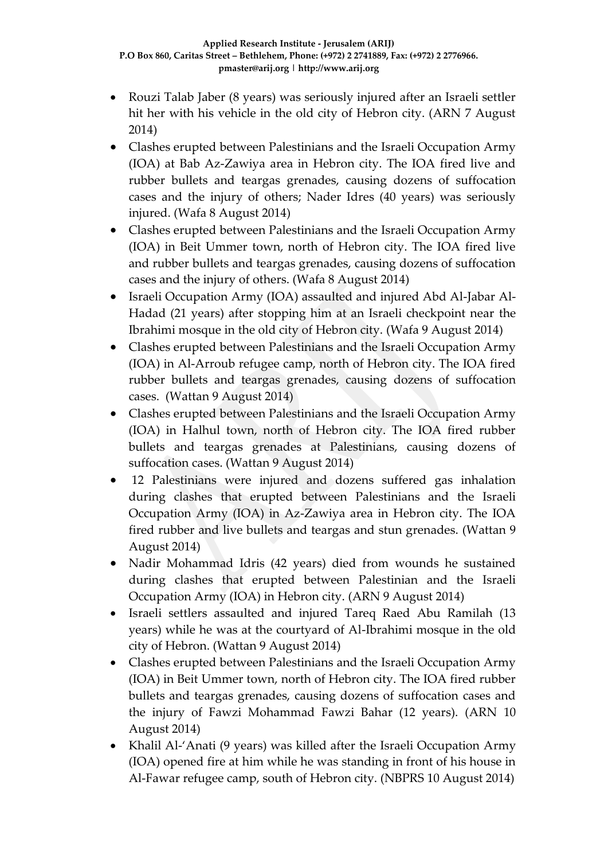- Rouzi Talab Jaber (8 years) was seriously injured after an Israeli settler hit her with his vehicle in the old city of Hebron city. (ARN 7 August 2014)
- Clashes erupted between Palestinians and the Israeli Occupation Army (IOA) at Bab Az-Zawiya area in Hebron city. The IOA fired live and rubber bullets and teargas grenades, causing dozens of suffocation cases and the injury of others; Nader Idres (40 years) was seriously injured. (Wafa 8 August 2014)
- Clashes erupted between Palestinians and the Israeli Occupation Army (IOA) in Beit Ummer town, north of Hebron city. The IOA fired live and rubber bullets and teargas grenades, causing dozens of suffocation cases and the injury of others. (Wafa 8 August 2014)
- Israeli Occupation Army (IOA) assaulted and injured Abd Al-Jabar Al-Hadad (21 years) after stopping him at an Israeli checkpoint near the Ibrahimi mosque in the old city of Hebron city. (Wafa 9 August 2014)
- Clashes erupted between Palestinians and the Israeli Occupation Army (IOA) in Al-Arroub refugee camp, north of Hebron city. The IOA fired rubber bullets and teargas grenades, causing dozens of suffocation cases. (Wattan 9 August 2014)
- Clashes erupted between Palestinians and the Israeli Occupation Army (IOA) in Halhul town, north of Hebron city. The IOA fired rubber bullets and teargas grenades at Palestinians, causing dozens of suffocation cases. (Wattan 9 August 2014)
- 12 Palestinians were injured and dozens suffered gas inhalation during clashes that erupted between Palestinians and the Israeli Occupation Army (IOA) in Az-Zawiya area in Hebron city. The IOA fired rubber and live bullets and teargas and stun grenades. (Wattan 9 August 2014)
- Nadir Mohammad Idris (42 years) died from wounds he sustained during clashes that erupted between Palestinian and the Israeli Occupation Army (IOA) in Hebron city. (ARN 9 August 2014)
- Israeli settlers assaulted and injured Tareq Raed Abu Ramilah (13 years) while he was at the courtyard of Al-Ibrahimi mosque in the old city of Hebron. (Wattan 9 August 2014)
- Clashes erupted between Palestinians and the Israeli Occupation Army (IOA) in Beit Ummer town, north of Hebron city. The IOA fired rubber bullets and teargas grenades, causing dozens of suffocation cases and the injury of Fawzi Mohammad Fawzi Bahar (12 years). (ARN 10 August 2014)
- Khalil Al-'Anati (9 years) was killed after the Israeli Occupation Army (IOA) opened fire at him while he was standing in front of his house in Al-Fawar refugee camp, south of Hebron city. (NBPRS 10 August 2014)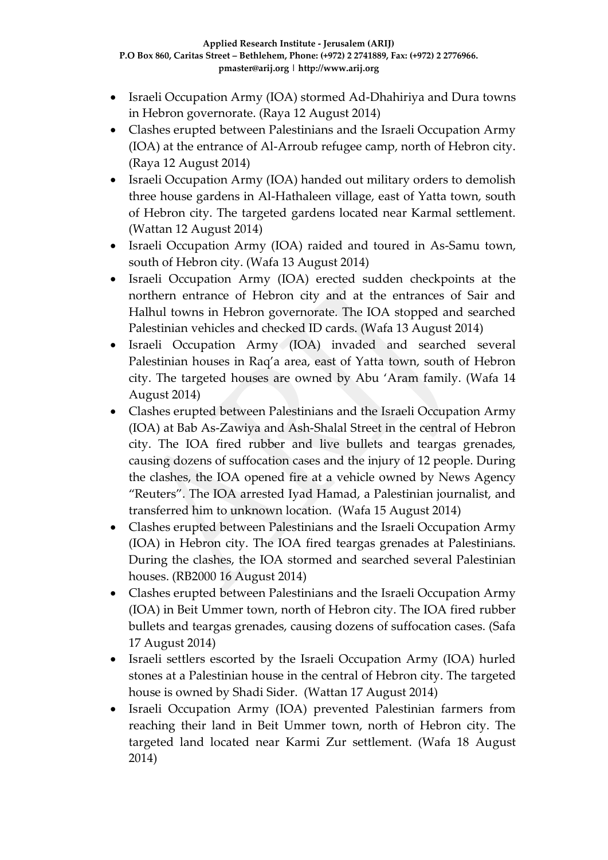- Israeli Occupation Army (IOA) stormed Ad-Dhahiriya and Dura towns in Hebron governorate. (Raya 12 August 2014)
- Clashes erupted between Palestinians and the Israeli Occupation Army (IOA) at the entrance of Al-Arroub refugee camp, north of Hebron city. (Raya 12 August 2014)
- Israeli Occupation Army (IOA) handed out military orders to demolish three house gardens in Al-Hathaleen village, east of Yatta town, south of Hebron city. The targeted gardens located near Karmal settlement. (Wattan 12 August 2014)
- Israeli Occupation Army (IOA) raided and toured in As-Samu town, south of Hebron city. (Wafa 13 August 2014)
- Israeli Occupation Army (IOA) erected sudden checkpoints at the northern entrance of Hebron city and at the entrances of Sair and Halhul towns in Hebron governorate. The IOA stopped and searched Palestinian vehicles and checked ID cards. (Wafa 13 August 2014)
- Israeli Occupation Army (IOA) invaded and searched several Palestinian houses in Raq'a area, east of Yatta town, south of Hebron city. The targeted houses are owned by Abu 'Aram family. (Wafa 14 August 2014)
- Clashes erupted between Palestinians and the Israeli Occupation Army (IOA) at Bab As-Zawiya and Ash-Shalal Street in the central of Hebron city. The IOA fired rubber and live bullets and teargas grenades, causing dozens of suffocation cases and the injury of 12 people. During the clashes, the IOA opened fire at a vehicle owned by News Agency "Reuters". The IOA arrested Iyad Hamad, a Palestinian journalist, and transferred him to unknown location. (Wafa 15 August 2014)
- Clashes erupted between Palestinians and the Israeli Occupation Army (IOA) in Hebron city. The IOA fired teargas grenades at Palestinians. During the clashes, the IOA stormed and searched several Palestinian houses. (RB2000 16 August 2014)
- Clashes erupted between Palestinians and the Israeli Occupation Army (IOA) in Beit Ummer town, north of Hebron city. The IOA fired rubber bullets and teargas grenades, causing dozens of suffocation cases. (Safa 17 August 2014)
- Israeli settlers escorted by the Israeli Occupation Army (IOA) hurled stones at a Palestinian house in the central of Hebron city. The targeted house is owned by Shadi Sider. (Wattan 17 August 2014)
- Israeli Occupation Army (IOA) prevented Palestinian farmers from reaching their land in Beit Ummer town, north of Hebron city. The targeted land located near Karmi Zur settlement. (Wafa 18 August 2014)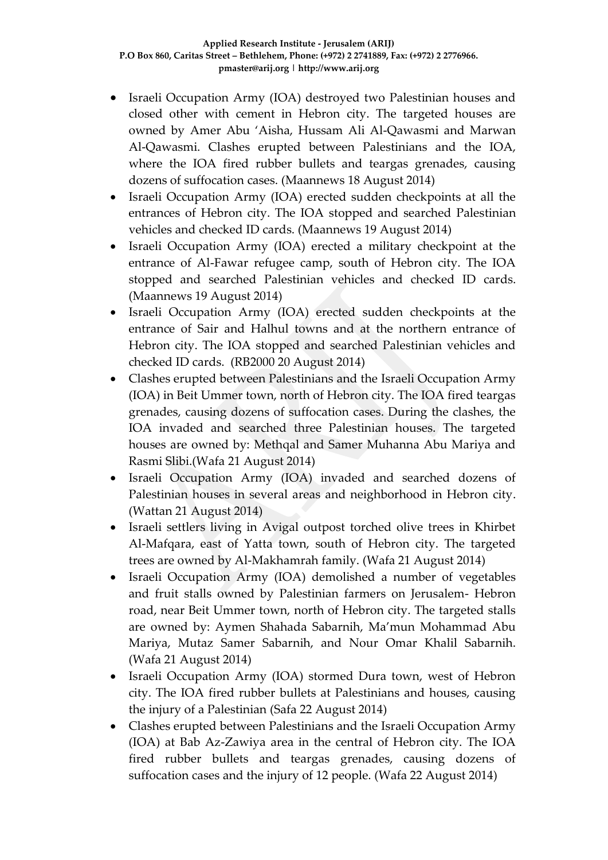- Israeli Occupation Army (IOA) destroyed two Palestinian houses and closed other with cement in Hebron city. The targeted houses are owned by Amer Abu 'Aisha, Hussam Ali Al-Qawasmi and Marwan Al-Qawasmi. Clashes erupted between Palestinians and the IOA, where the IOA fired rubber bullets and teargas grenades, causing dozens of suffocation cases. (Maannews 18 August 2014)
- Israeli Occupation Army (IOA) erected sudden checkpoints at all the entrances of Hebron city. The IOA stopped and searched Palestinian vehicles and checked ID cards. (Maannews 19 August 2014)
- Israeli Occupation Army (IOA) erected a military checkpoint at the entrance of Al-Fawar refugee camp, south of Hebron city. The IOA stopped and searched Palestinian vehicles and checked ID cards. (Maannews 19 August 2014)
- Israeli Occupation Army (IOA) erected sudden checkpoints at the entrance of Sair and Halhul towns and at the northern entrance of Hebron city. The IOA stopped and searched Palestinian vehicles and checked ID cards. (RB2000 20 August 2014)
- Clashes erupted between Palestinians and the Israeli Occupation Army (IOA) in Beit Ummer town, north of Hebron city. The IOA fired teargas grenades, causing dozens of suffocation cases. During the clashes, the IOA invaded and searched three Palestinian houses. The targeted houses are owned by: Methqal and Samer Muhanna Abu Mariya and Rasmi Slibi.(Wafa 21 August 2014)
- Israeli Occupation Army (IOA) invaded and searched dozens of Palestinian houses in several areas and neighborhood in Hebron city. (Wattan 21 August 2014)
- Israeli settlers living in Avigal outpost torched olive trees in Khirbet Al-Mafqara, east of Yatta town, south of Hebron city. The targeted trees are owned by Al-Makhamrah family. (Wafa 21 August 2014)
- Israeli Occupation Army (IOA) demolished a number of vegetables and fruit stalls owned by Palestinian farmers on Jerusalem- Hebron road, near Beit Ummer town, north of Hebron city. The targeted stalls are owned by: Aymen Shahada Sabarnih, Ma'mun Mohammad Abu Mariya, Mutaz Samer Sabarnih, and Nour Omar Khalil Sabarnih. (Wafa 21 August 2014)
- Israeli Occupation Army (IOA) stormed Dura town, west of Hebron city. The IOA fired rubber bullets at Palestinians and houses, causing the injury of a Palestinian (Safa 22 August 2014)
- Clashes erupted between Palestinians and the Israeli Occupation Army (IOA) at Bab Az-Zawiya area in the central of Hebron city. The IOA fired rubber bullets and teargas grenades, causing dozens of suffocation cases and the injury of 12 people. (Wafa 22 August 2014)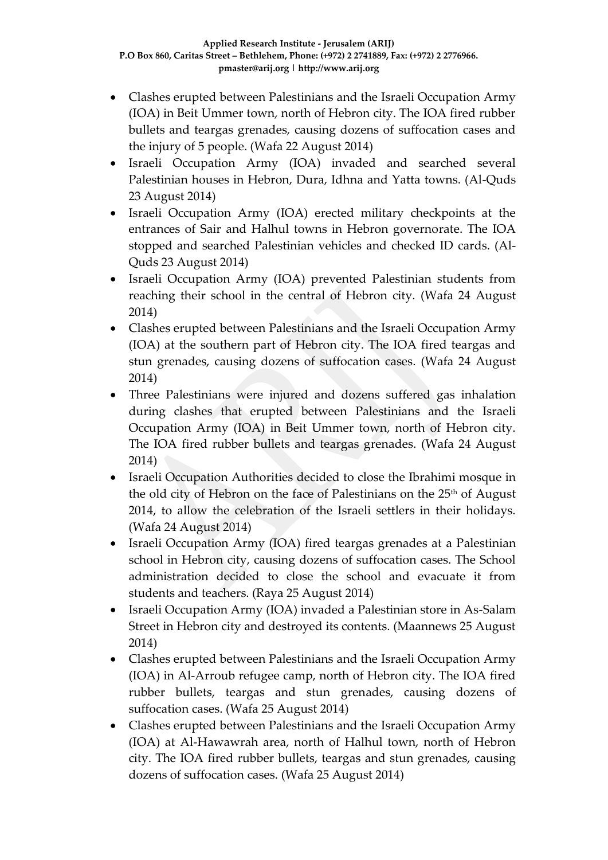- Clashes erupted between Palestinians and the Israeli Occupation Army (IOA) in Beit Ummer town, north of Hebron city. The IOA fired rubber bullets and teargas grenades, causing dozens of suffocation cases and the injury of 5 people. (Wafa 22 August 2014)
- Israeli Occupation Army (IOA) invaded and searched several Palestinian houses in Hebron, Dura, Idhna and Yatta towns. (Al-Quds 23 August 2014)
- Israeli Occupation Army (IOA) erected military checkpoints at the entrances of Sair and Halhul towns in Hebron governorate. The IOA stopped and searched Palestinian vehicles and checked ID cards. (Al-Quds 23 August 2014)
- Israeli Occupation Army (IOA) prevented Palestinian students from reaching their school in the central of Hebron city. (Wafa 24 August 2014)
- Clashes erupted between Palestinians and the Israeli Occupation Army (IOA) at the southern part of Hebron city. The IOA fired teargas and stun grenades, causing dozens of suffocation cases. (Wafa 24 August 2014)
- Three Palestinians were injured and dozens suffered gas inhalation during clashes that erupted between Palestinians and the Israeli Occupation Army (IOA) in Beit Ummer town, north of Hebron city. The IOA fired rubber bullets and teargas grenades. (Wafa 24 August 2014)
- Israeli Occupation Authorities decided to close the Ibrahimi mosque in the old city of Hebron on the face of Palestinians on the 25<sup>th</sup> of August 2014, to allow the celebration of the Israeli settlers in their holidays. (Wafa 24 August 2014)
- Israeli Occupation Army (IOA) fired teargas grenades at a Palestinian school in Hebron city, causing dozens of suffocation cases. The School administration decided to close the school and evacuate it from students and teachers. (Raya 25 August 2014)
- Israeli Occupation Army (IOA) invaded a Palestinian store in As-Salam Street in Hebron city and destroyed its contents. (Maannews 25 August 2014)
- Clashes erupted between Palestinians and the Israeli Occupation Army (IOA) in Al-Arroub refugee camp, north of Hebron city. The IOA fired rubber bullets, teargas and stun grenades, causing dozens of suffocation cases. (Wafa 25 August 2014)
- Clashes erupted between Palestinians and the Israeli Occupation Army (IOA) at Al-Hawawrah area, north of Halhul town, north of Hebron city. The IOA fired rubber bullets, teargas and stun grenades, causing dozens of suffocation cases. (Wafa 25 August 2014)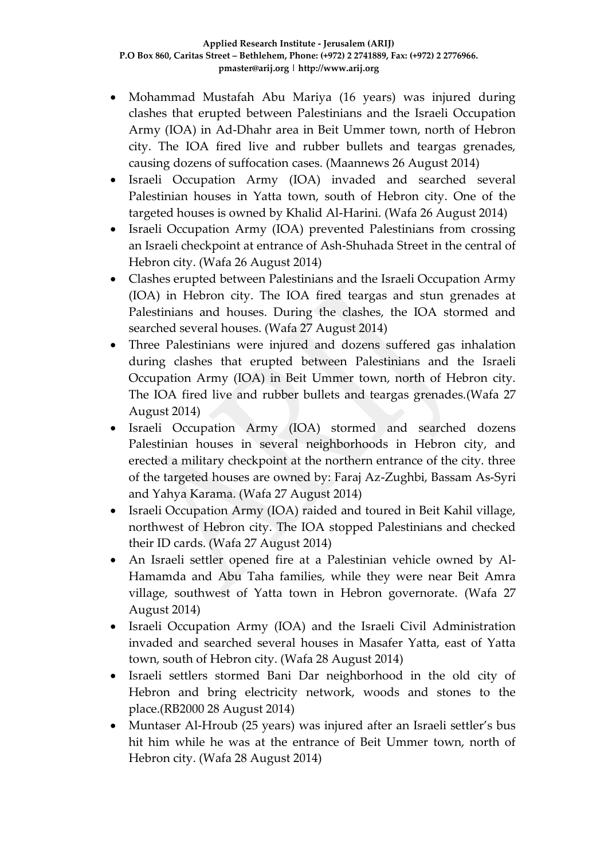- Mohammad Mustafah Abu Mariya (16 years) was injured during clashes that erupted between Palestinians and the Israeli Occupation Army (IOA) in Ad-Dhahr area in Beit Ummer town, north of Hebron city. The IOA fired live and rubber bullets and teargas grenades, causing dozens of suffocation cases. (Maannews 26 August 2014)
- Israeli Occupation Army (IOA) invaded and searched several Palestinian houses in Yatta town, south of Hebron city. One of the targeted houses is owned by Khalid Al-Harini. (Wafa 26 August 2014)
- Israeli Occupation Army (IOA) prevented Palestinians from crossing an Israeli checkpoint at entrance of Ash-Shuhada Street in the central of Hebron city. (Wafa 26 August 2014)
- Clashes erupted between Palestinians and the Israeli Occupation Army (IOA) in Hebron city. The IOA fired teargas and stun grenades at Palestinians and houses. During the clashes, the IOA stormed and searched several houses. (Wafa 27 August 2014)
- Three Palestinians were injured and dozens suffered gas inhalation during clashes that erupted between Palestinians and the Israeli Occupation Army (IOA) in Beit Ummer town, north of Hebron city. The IOA fired live and rubber bullets and teargas grenades.(Wafa 27 August 2014)
- Israeli Occupation Army (IOA) stormed and searched dozens Palestinian houses in several neighborhoods in Hebron city, and erected a military checkpoint at the northern entrance of the city. three of the targeted houses are owned by: Faraj Az-Zughbi, Bassam As-Syri and Yahya Karama. (Wafa 27 August 2014)
- Israeli Occupation Army (IOA) raided and toured in Beit Kahil village, northwest of Hebron city. The IOA stopped Palestinians and checked their ID cards. (Wafa 27 August 2014)
- An Israeli settler opened fire at a Palestinian vehicle owned by Al-Hamamda and Abu Taha families, while they were near Beit Amra village, southwest of Yatta town in Hebron governorate. (Wafa 27 August 2014)
- Israeli Occupation Army (IOA) and the Israeli Civil Administration invaded and searched several houses in Masafer Yatta, east of Yatta town, south of Hebron city. (Wafa 28 August 2014)
- Israeli settlers stormed Bani Dar neighborhood in the old city of Hebron and bring electricity network, woods and stones to the place.(RB2000 28 August 2014)
- Muntaser Al-Hroub (25 years) was injured after an Israeli settler's bus hit him while he was at the entrance of Beit Ummer town, north of Hebron city. (Wafa 28 August 2014)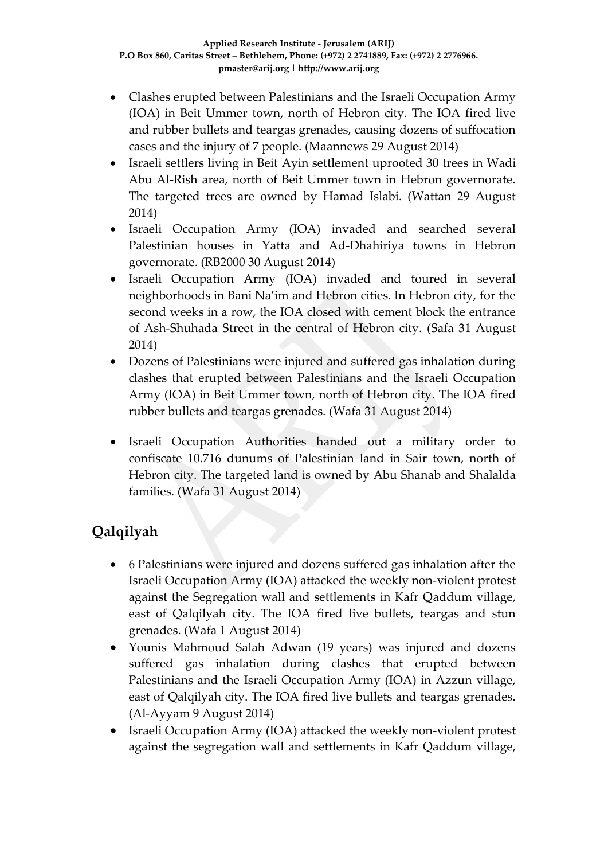- Clashes erupted between Palestinians and the Israeli Occupation Army (IOA) in Beit Ummer town, north of Hebron city. The IOA fired live and rubber bullets and teargas grenades, causing dozens of suffocation cases and the injury of 7 people. (Maannews 29 August 2014)
- Israeli settlers living in Beit Ayin settlement uprooted 30 trees in Wadi Abu Al-Rish area, north of Beit Ummer town in Hebron governorate. The targeted trees are owned by Hamad Islabi. (Wattan 29 August 2014)
- Israeli Occupation Army (IOA) invaded and searched several Palestinian houses in Yatta and Ad-Dhahiriya towns in Hebron governorate. (RB2000 30 August 2014)
- Israeli Occupation Army (IOA) invaded and toured in several neighborhoods in Bani Na'im and Hebron cities. In Hebron city, for the second weeks in a row, the IOA closed with cement block the entrance of Ash-Shuhada Street in the central of Hebron city. (Safa 31 August 2014)
- Dozens of Palestinians were injured and suffered gas inhalation during clashes that erupted between Palestinians and the Israeli Occupation Army (IOA) in Beit Ummer town, north of Hebron city. The IOA fired rubber bullets and teargas grenades. (Wafa 31 August 2014)
- Israeli Occupation Authorities handed out a military order to confiscate 10.716 dunums of Palestinian land in Sair town, north of Hebron city. The targeted land is owned by Abu Shanab and Shalalda families. (Wafa 31 August 2014)

# **Qalqilyah**

- 6 Palestinians were injured and dozens suffered gas inhalation after the Israeli Occupation Army (IOA) attacked the weekly non-violent protest against the Segregation wall and settlements in Kafr Qaddum village, east of Qalqilyah city. The IOA fired live bullets, teargas and stun grenades. (Wafa 1 August 2014)
- Younis Mahmoud Salah Adwan (19 years) was injured and dozens suffered gas inhalation during clashes that erupted between Palestinians and the Israeli Occupation Army (IOA) in Azzun village, east of Qalqilyah city. The IOA fired live bullets and teargas grenades. (Al-Ayyam 9 August 2014)
- Israeli Occupation Army (IOA) attacked the weekly non-violent protest against the segregation wall and settlements in Kafr Qaddum village,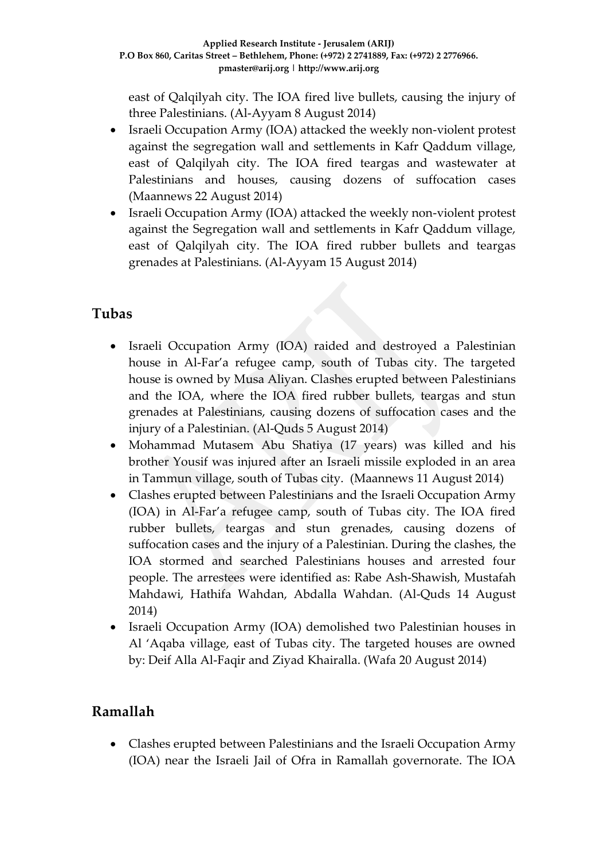east of Qalqilyah city. The IOA fired live bullets, causing the injury of three Palestinians. (Al-Ayyam 8 August 2014)

- Israeli Occupation Army (IOA) attacked the weekly non-violent protest against the segregation wall and settlements in Kafr Qaddum village, east of Qalqilyah city. The IOA fired teargas and wastewater at Palestinians and houses, causing dozens of suffocation cases (Maannews 22 August 2014)
- Israeli Occupation Army (IOA) attacked the weekly non-violent protest against the Segregation wall and settlements in Kafr Qaddum village, east of Qalqilyah city. The IOA fired rubber bullets and teargas grenades at Palestinians. (Al-Ayyam 15 August 2014)

### **Tubas**

- Israeli Occupation Army (IOA) raided and destroyed a Palestinian house in Al-Far'a refugee camp, south of Tubas city. The targeted house is owned by Musa Aliyan. Clashes erupted between Palestinians and the IOA, where the IOA fired rubber bullets, teargas and stun grenades at Palestinians, causing dozens of suffocation cases and the injury of a Palestinian. (Al-Quds 5 August 2014)
- Mohammad Mutasem Abu Shatiya (17 years) was killed and his brother Yousif was injured after an Israeli missile exploded in an area in Tammun village, south of Tubas city. (Maannews 11 August 2014)
- Clashes erupted between Palestinians and the Israeli Occupation Army (IOA) in Al-Far'a refugee camp, south of Tubas city. The IOA fired rubber bullets, teargas and stun grenades, causing dozens of suffocation cases and the injury of a Palestinian. During the clashes, the IOA stormed and searched Palestinians houses and arrested four people. The arrestees were identified as: Rabe Ash-Shawish, Mustafah Mahdawi, Hathifa Wahdan, Abdalla Wahdan. (Al-Quds 14 August 2014)
- Israeli Occupation Army (IOA) demolished two Palestinian houses in Al 'Aqaba village, east of Tubas city. The targeted houses are owned by: Deif Alla Al-Faqir and Ziyad Khairalla. (Wafa 20 August 2014)

## **Ramallah**

 Clashes erupted between Palestinians and the Israeli Occupation Army (IOA) near the Israeli Jail of Ofra in Ramallah governorate. The IOA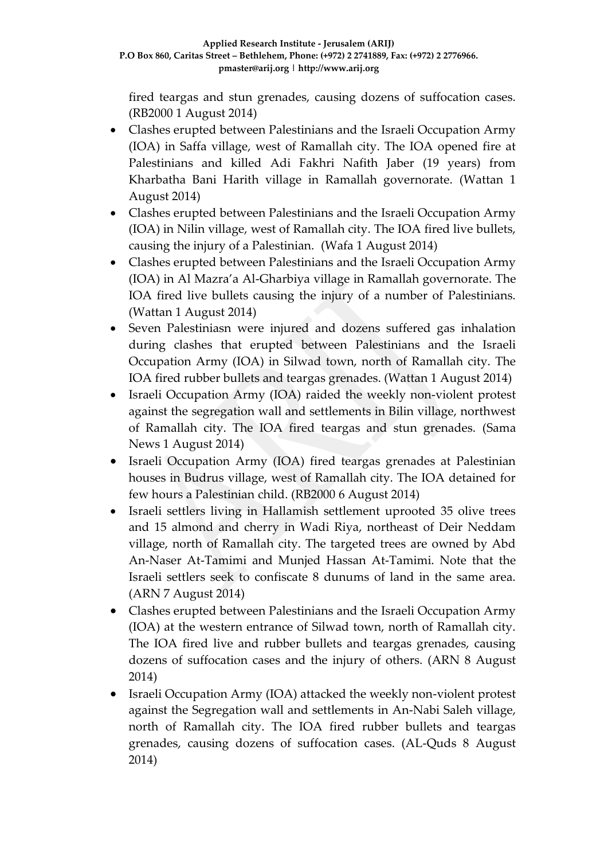fired teargas and stun grenades, causing dozens of suffocation cases. (RB2000 1 August 2014)

- Clashes erupted between Palestinians and the Israeli Occupation Army (IOA) in Saffa village, west of Ramallah city. The IOA opened fire at Palestinians and killed Adi Fakhri Nafith Jaber (19 years) from Kharbatha Bani Harith village in Ramallah governorate. (Wattan 1 August 2014)
- Clashes erupted between Palestinians and the Israeli Occupation Army (IOA) in Nilin village, west of Ramallah city. The IOA fired live bullets, causing the injury of a Palestinian. (Wafa 1 August 2014)
- Clashes erupted between Palestinians and the Israeli Occupation Army (IOA) in Al Mazra'a Al-Gharbiya village in Ramallah governorate. The IOA fired live bullets causing the injury of a number of Palestinians. (Wattan 1 August 2014)
- Seven Palestiniasn were injured and dozens suffered gas inhalation during clashes that erupted between Palestinians and the Israeli Occupation Army (IOA) in Silwad town, north of Ramallah city. The IOA fired rubber bullets and teargas grenades. (Wattan 1 August 2014)
- Israeli Occupation Army (IOA) raided the weekly non-violent protest against the segregation wall and settlements in Bilin village, northwest of Ramallah city. The IOA fired teargas and stun grenades. (Sama News 1 August 2014)
- Israeli Occupation Army (IOA) fired teargas grenades at Palestinian houses in Budrus village, west of Ramallah city. The IOA detained for few hours a Palestinian child. (RB2000 6 August 2014)
- Israeli settlers living in Hallamish settlement uprooted 35 olive trees and 15 almond and cherry in Wadi Riya, northeast of Deir Neddam village, north of Ramallah city. The targeted trees are owned by Abd An-Naser At-Tamimi and Munjed Hassan At-Tamimi. Note that the Israeli settlers seek to confiscate 8 dunums of land in the same area. (ARN 7 August 2014)
- Clashes erupted between Palestinians and the Israeli Occupation Army (IOA) at the western entrance of Silwad town, north of Ramallah city. The IOA fired live and rubber bullets and teargas grenades, causing dozens of suffocation cases and the injury of others. (ARN 8 August 2014)
- Israeli Occupation Army (IOA) attacked the weekly non-violent protest against the Segregation wall and settlements in An-Nabi Saleh village, north of Ramallah city. The IOA fired rubber bullets and teargas grenades, causing dozens of suffocation cases. (AL-Quds 8 August 2014)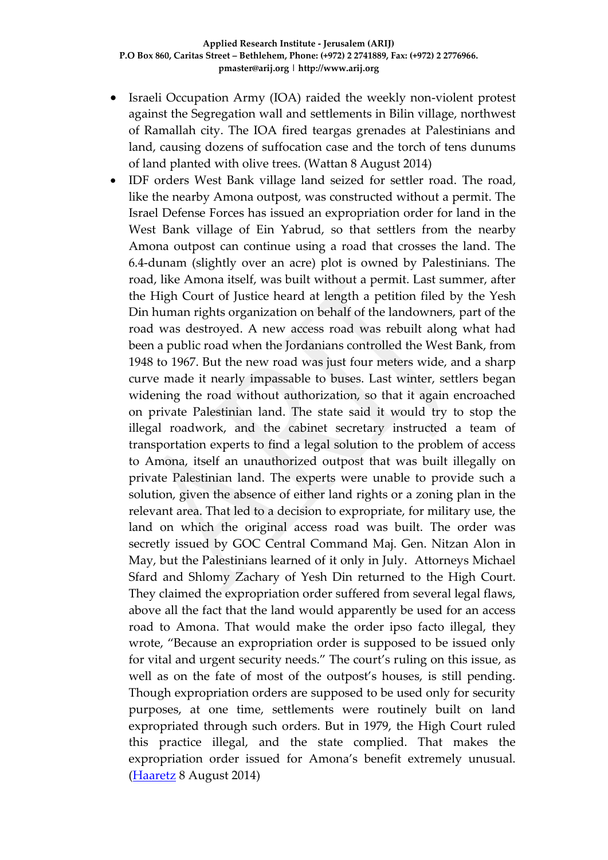- Israeli Occupation Army (IOA) raided the weekly non-violent protest against the Segregation wall and settlements in Bilin village, northwest of Ramallah city. The IOA fired teargas grenades at Palestinians and land, causing dozens of suffocation case and the torch of tens dunums of land planted with olive trees. (Wattan 8 August 2014)
- IDF orders West Bank village land seized for settler road. The road, like the nearby Amona outpost, was constructed without a permit. The Israel Defense Forces has issued an expropriation order for land in the West Bank village of Ein Yabrud, so that settlers from the nearby Amona outpost can continue using a road that crosses the land. The 6.4-dunam (slightly over an acre) plot is owned by Palestinians. The road, like Amona itself, was built without a permit. Last summer, after the High Court of Justice heard at length a petition filed by the Yesh Din human rights organization on behalf of the landowners, part of the road was destroyed. A new access road was rebuilt along what had been a public road when the Jordanians controlled the West Bank, from 1948 to 1967. But the new road was just four meters wide, and a sharp curve made it nearly impassable to buses. Last winter, settlers began widening the road without authorization, so that it again encroached on private Palestinian land. The state said it would try to stop the illegal roadwork, and the cabinet secretary instructed a team of transportation experts to find a legal solution to the problem of access to Amona, itself an unauthorized outpost that was built illegally on private Palestinian land. The experts were unable to provide such a solution, given the absence of either land rights or a zoning plan in the relevant area. That led to a decision to expropriate, for military use, the land on which the original access road was built. The order was secretly issued by GOC Central Command Maj. Gen. Nitzan Alon in May, but the Palestinians learned of it only in July. Attorneys Michael Sfard and Shlomy Zachary of Yesh Din returned to the High Court. They claimed the expropriation order suffered from several legal flaws, above all the fact that the land would apparently be used for an access road to Amona. That would make the order ipso facto illegal, they wrote, "Because an expropriation order is supposed to be issued only for vital and urgent security needs." The court's ruling on this issue, as well as on the fate of most of the outpost's houses, is still pending. Though expropriation orders are supposed to be used only for security purposes, at one time, settlements were routinely built on land expropriated through such orders. But in 1979, the High Court ruled this practice illegal, and the state complied. That makes the expropriation order issued for Amona's benefit extremely unusual. [\(Haaretz](http://www.haaretz.com/news/diplomacy-defense/.premium-1.609313) 8 August 2014)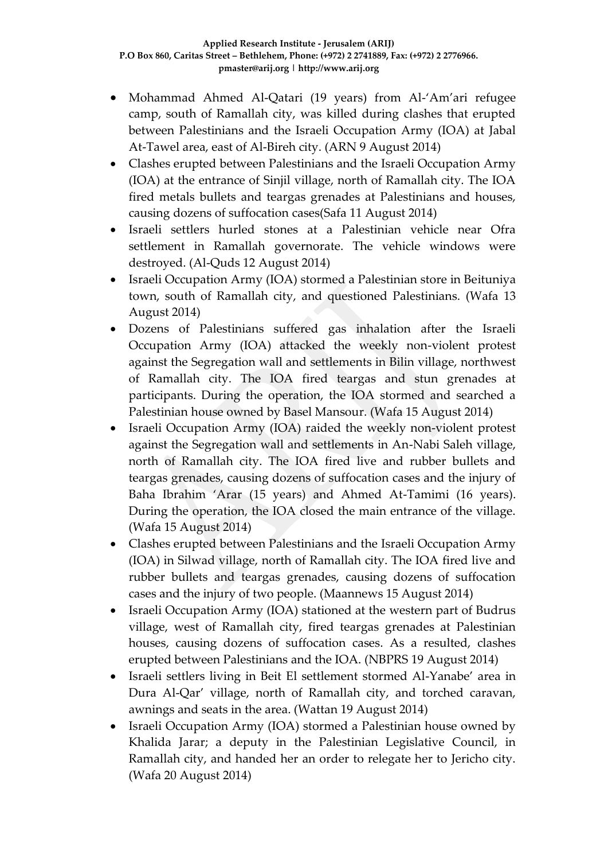- Mohammad Ahmed Al-Qatari (19 years) from Al-'Am'ari refugee camp, south of Ramallah city, was killed during clashes that erupted between Palestinians and the Israeli Occupation Army (IOA) at Jabal At-Tawel area, east of Al-Bireh city. (ARN 9 August 2014)
- Clashes erupted between Palestinians and the Israeli Occupation Army (IOA) at the entrance of Sinjil village, north of Ramallah city. The IOA fired metals bullets and teargas grenades at Palestinians and houses, causing dozens of suffocation cases(Safa 11 August 2014)
- Israeli settlers hurled stones at a Palestinian vehicle near Ofra settlement in Ramallah governorate. The vehicle windows were destroyed. (Al-Quds 12 August 2014)
- Israeli Occupation Army (IOA) stormed a Palestinian store in Beituniya town, south of Ramallah city, and questioned Palestinians. (Wafa 13 August 2014)
- Dozens of Palestinians suffered gas inhalation after the Israeli Occupation Army (IOA) attacked the weekly non-violent protest against the Segregation wall and settlements in Bilin village, northwest of Ramallah city. The IOA fired teargas and stun grenades at participants. During the operation, the IOA stormed and searched a Palestinian house owned by Basel Mansour. (Wafa 15 August 2014)
- Israeli Occupation Army (IOA) raided the weekly non-violent protest against the Segregation wall and settlements in An-Nabi Saleh village, north of Ramallah city. The IOA fired live and rubber bullets and teargas grenades, causing dozens of suffocation cases and the injury of Baha Ibrahim 'Arar (15 years) and Ahmed At-Tamimi (16 years). During the operation, the IOA closed the main entrance of the village. (Wafa 15 August 2014)
- Clashes erupted between Palestinians and the Israeli Occupation Army (IOA) in Silwad village, north of Ramallah city. The IOA fired live and rubber bullets and teargas grenades, causing dozens of suffocation cases and the injury of two people. (Maannews 15 August 2014)
- Israeli Occupation Army (IOA) stationed at the western part of Budrus village, west of Ramallah city, fired teargas grenades at Palestinian houses, causing dozens of suffocation cases. As a resulted, clashes erupted between Palestinians and the IOA. (NBPRS 19 August 2014)
- Israeli settlers living in Beit El settlement stormed Al-Yanabe' area in Dura Al-Qar' village, north of Ramallah city, and torched caravan, awnings and seats in the area. (Wattan 19 August 2014)
- Israeli Occupation Army (IOA) stormed a Palestinian house owned by Khalida Jarar; a deputy in the Palestinian Legislative Council, in Ramallah city, and handed her an order to relegate her to Jericho city. (Wafa 20 August 2014)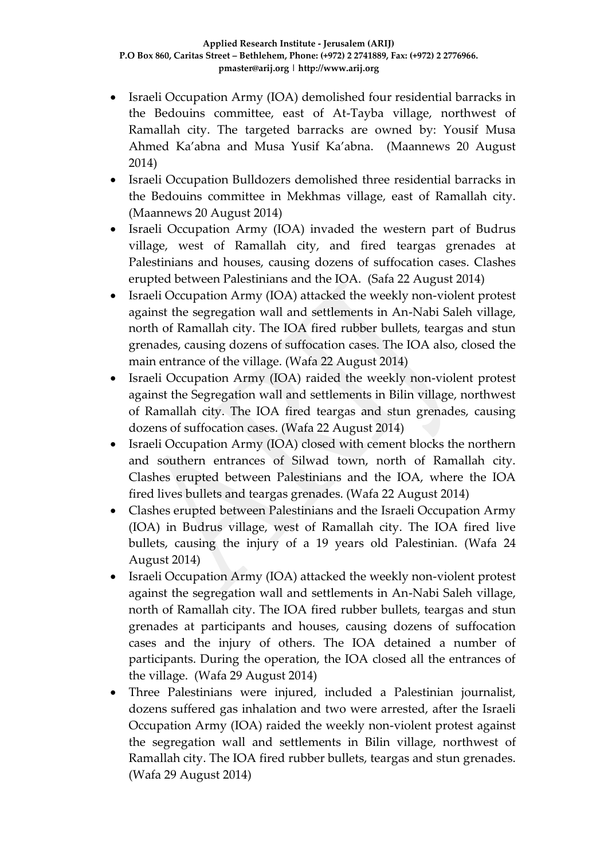- Israeli Occupation Army (IOA) demolished four residential barracks in the Bedouins committee, east of At-Tayba village, northwest of Ramallah city. The targeted barracks are owned by: Yousif Musa Ahmed Ka'abna and Musa Yusif Ka'abna. (Maannews 20 August 2014)
- Israeli Occupation Bulldozers demolished three residential barracks in the Bedouins committee in Mekhmas village, east of Ramallah city. (Maannews 20 August 2014)
- Israeli Occupation Army (IOA) invaded the western part of Budrus village, west of Ramallah city, and fired teargas grenades at Palestinians and houses, causing dozens of suffocation cases. Clashes erupted between Palestinians and the IOA. (Safa 22 August 2014)
- Israeli Occupation Army (IOA) attacked the weekly non-violent protest against the segregation wall and settlements in An-Nabi Saleh village, north of Ramallah city. The IOA fired rubber bullets, teargas and stun grenades, causing dozens of suffocation cases. The IOA also, closed the main entrance of the village. (Wafa 22 August 2014)
- Israeli Occupation Army (IOA) raided the weekly non-violent protest against the Segregation wall and settlements in Bilin village, northwest of Ramallah city. The IOA fired teargas and stun grenades, causing dozens of suffocation cases. (Wafa 22 August 2014)
- Israeli Occupation Army (IOA) closed with cement blocks the northern and southern entrances of Silwad town, north of Ramallah city. Clashes erupted between Palestinians and the IOA, where the IOA fired lives bullets and teargas grenades. (Wafa 22 August 2014)
- Clashes erupted between Palestinians and the Israeli Occupation Army (IOA) in Budrus village, west of Ramallah city. The IOA fired live bullets, causing the injury of a 19 years old Palestinian. (Wafa 24 August 2014)
- Israeli Occupation Army (IOA) attacked the weekly non-violent protest against the segregation wall and settlements in An-Nabi Saleh village, north of Ramallah city. The IOA fired rubber bullets, teargas and stun grenades at participants and houses, causing dozens of suffocation cases and the injury of others. The IOA detained a number of participants. During the operation, the IOA closed all the entrances of the village. (Wafa 29 August 2014)
- Three Palestinians were injured, included a Palestinian journalist, dozens suffered gas inhalation and two were arrested, after the Israeli Occupation Army (IOA) raided the weekly non-violent protest against the segregation wall and settlements in Bilin village, northwest of Ramallah city. The IOA fired rubber bullets, teargas and stun grenades. (Wafa 29 August 2014)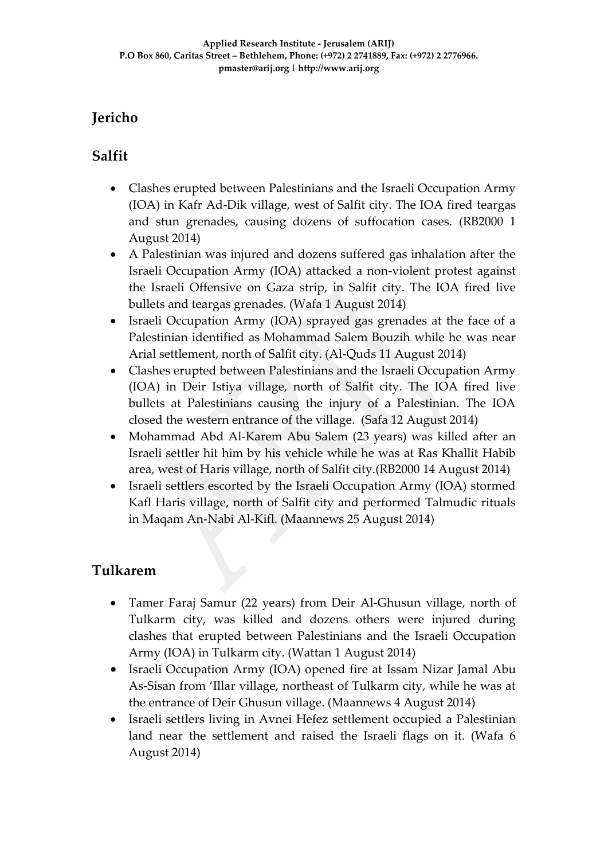## **Jericho**

### **Salfit**

- Clashes erupted between Palestinians and the Israeli Occupation Army (IOA) in Kafr Ad-Dik village, west of Salfit city. The IOA fired teargas and stun grenades, causing dozens of suffocation cases. (RB2000 1 August 2014)
- A Palestinian was injured and dozens suffered gas inhalation after the Israeli Occupation Army (IOA) attacked a non-violent protest against the Israeli Offensive on Gaza strip, in Salfit city. The IOA fired live bullets and teargas grenades. (Wafa 1 August 2014)
- Israeli Occupation Army (IOA) sprayed gas grenades at the face of a Palestinian identified as Mohammad Salem Bouzih while he was near Arial settlement, north of Salfit city. (Al-Quds 11 August 2014)
- Clashes erupted between Palestinians and the Israeli Occupation Army (IOA) in Deir Istiya village, north of Salfit city. The IOA fired live bullets at Palestinians causing the injury of a Palestinian. The IOA closed the western entrance of the village. (Safa 12 August 2014)
- Mohammad Abd Al-Karem Abu Salem (23 years) was killed after an Israeli settler hit him by his vehicle while he was at Ras Khallit Habib area, west of Haris village, north of Salfit city.(RB2000 14 August 2014)
- Israeli settlers escorted by the Israeli Occupation Army (IOA) stormed Kafl Haris village, north of Salfit city and performed Talmudic rituals in Maqam An-Nabi Al-Kifl. (Maannews 25 August 2014)

### **Tulkarem**

- Tamer Faraj Samur (22 years) from Deir Al-Ghusun village, north of Tulkarm city, was killed and dozens others were injured during clashes that erupted between Palestinians and the Israeli Occupation Army (IOA) in Tulkarm city. (Wattan 1 August 2014)
- Israeli Occupation Army (IOA) opened fire at Issam Nizar Jamal Abu As-Sisan from 'Illar village, northeast of Tulkarm city, while he was at the entrance of Deir Ghusun village. (Maannews 4 August 2014)
- Israeli settlers living in Avnei Hefez settlement occupied a Palestinian land near the settlement and raised the Israeli flags on it. (Wafa 6 August 2014)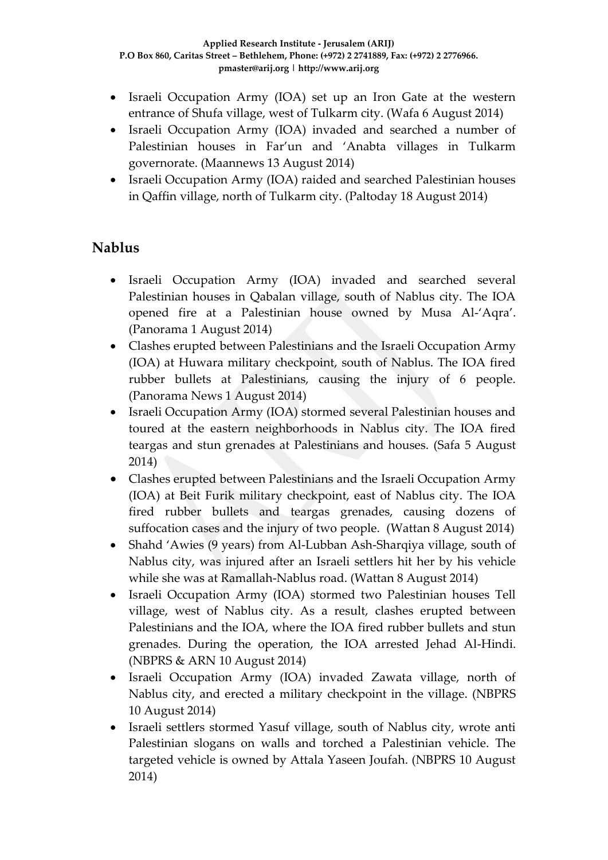- Israeli Occupation Army (IOA) set up an Iron Gate at the western entrance of Shufa village, west of Tulkarm city. (Wafa 6 August 2014)
- Israeli Occupation Army (IOA) invaded and searched a number of Palestinian houses in Far'un and 'Anabta villages in Tulkarm governorate. (Maannews 13 August 2014)
- Israeli Occupation Army (IOA) raided and searched Palestinian houses in Qaffin village, north of Tulkarm city. (Paltoday 18 August 2014)

### **Nablus**

- Israeli Occupation Army (IOA) invaded and searched several Palestinian houses in Qabalan village, south of Nablus city. The IOA opened fire at a Palestinian house owned by Musa Al-'Aqra'. (Panorama 1 August 2014)
- Clashes erupted between Palestinians and the Israeli Occupation Army (IOA) at Huwara military checkpoint, south of Nablus. The IOA fired rubber bullets at Palestinians, causing the injury of 6 people. (Panorama News 1 August 2014)
- Israeli Occupation Army (IOA) stormed several Palestinian houses and toured at the eastern neighborhoods in Nablus city. The IOA fired teargas and stun grenades at Palestinians and houses. (Safa 5 August 2014)
- Clashes erupted between Palestinians and the Israeli Occupation Army (IOA) at Beit Furik military checkpoint, east of Nablus city. The IOA fired rubber bullets and teargas grenades, causing dozens of suffocation cases and the injury of two people. (Wattan 8 August 2014)
- Shahd 'Awies (9 years) from Al-Lubban Ash-Sharqiya village, south of Nablus city, was injured after an Israeli settlers hit her by his vehicle while she was at Ramallah-Nablus road. (Wattan 8 August 2014)
- Israeli Occupation Army (IOA) stormed two Palestinian houses Tell village, west of Nablus city. As a result, clashes erupted between Palestinians and the IOA, where the IOA fired rubber bullets and stun grenades. During the operation, the IOA arrested Jehad Al-Hindi. (NBPRS & ARN 10 August 2014)
- Israeli Occupation Army (IOA) invaded Zawata village, north of Nablus city, and erected a military checkpoint in the village. (NBPRS 10 August 2014)
- Israeli settlers stormed Yasuf village, south of Nablus city, wrote anti Palestinian slogans on walls and torched a Palestinian vehicle. The targeted vehicle is owned by Attala Yaseen Joufah. (NBPRS 10 August 2014)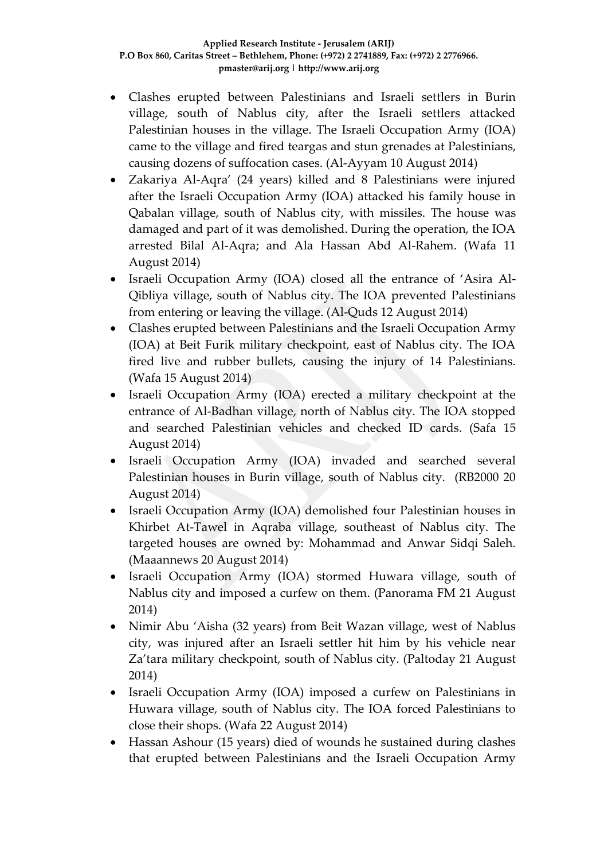- Clashes erupted between Palestinians and Israeli settlers in Burin village, south of Nablus city, after the Israeli settlers attacked Palestinian houses in the village. The Israeli Occupation Army (IOA) came to the village and fired teargas and stun grenades at Palestinians, causing dozens of suffocation cases. (Al-Ayyam 10 August 2014)
- Zakariya Al-Aqra' (24 years) killed and 8 Palestinians were injured after the Israeli Occupation Army (IOA) attacked his family house in Qabalan village, south of Nablus city, with missiles. The house was damaged and part of it was demolished. During the operation, the IOA arrested Bilal Al-Aqra; and Ala Hassan Abd Al-Rahem. (Wafa 11 August 2014)
- Israeli Occupation Army (IOA) closed all the entrance of 'Asira Al-Qibliya village, south of Nablus city. The IOA prevented Palestinians from entering or leaving the village. (Al-Quds 12 August 2014)
- Clashes erupted between Palestinians and the Israeli Occupation Army (IOA) at Beit Furik military checkpoint, east of Nablus city. The IOA fired live and rubber bullets, causing the injury of 14 Palestinians. (Wafa 15 August 2014)
- Israeli Occupation Army (IOA) erected a military checkpoint at the entrance of Al-Badhan village, north of Nablus city. The IOA stopped and searched Palestinian vehicles and checked ID cards. (Safa 15 August 2014)
- Israeli Occupation Army (IOA) invaded and searched several Palestinian houses in Burin village, south of Nablus city. (RB2000 20 August 2014)
- Israeli Occupation Army (IOA) demolished four Palestinian houses in Khirbet At-Tawel in Aqraba village, southeast of Nablus city. The targeted houses are owned by: Mohammad and Anwar Sidqi Saleh. (Maaannews 20 August 2014)
- Israeli Occupation Army (IOA) stormed Huwara village, south of Nablus city and imposed a curfew on them. (Panorama FM 21 August 2014)
- Nimir Abu 'Aisha (32 years) from Beit Wazan village, west of Nablus city, was injured after an Israeli settler hit him by his vehicle near Za'tara military checkpoint, south of Nablus city. (Paltoday 21 August 2014)
- Israeli Occupation Army (IOA) imposed a curfew on Palestinians in Huwara village, south of Nablus city. The IOA forced Palestinians to close their shops. (Wafa 22 August 2014)
- Hassan Ashour (15 years) died of wounds he sustained during clashes that erupted between Palestinians and the Israeli Occupation Army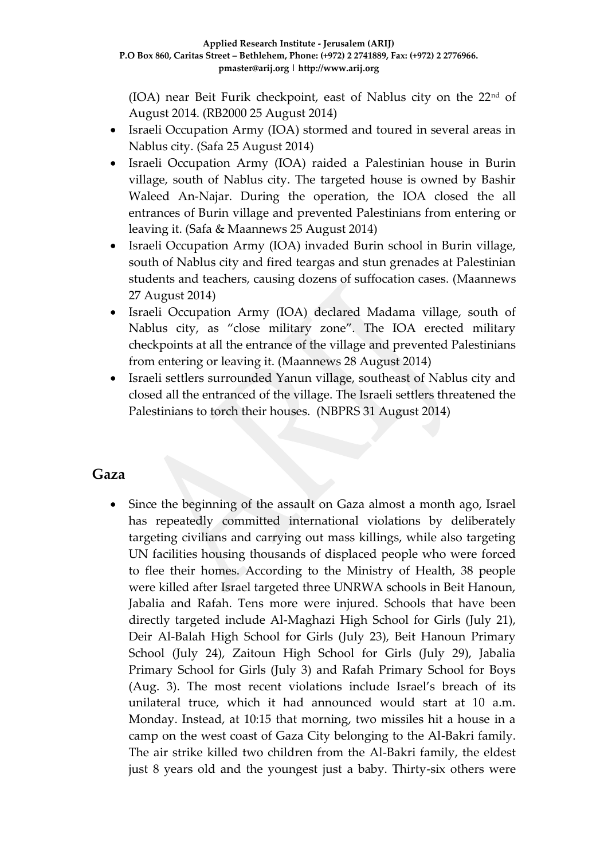(IOA) near Beit Furik checkpoint, east of Nablus city on the 22nd of August 2014. (RB2000 25 August 2014)

- Israeli Occupation Army (IOA) stormed and toured in several areas in Nablus city. (Safa 25 August 2014)
- Israeli Occupation Army (IOA) raided a Palestinian house in Burin village, south of Nablus city. The targeted house is owned by Bashir Waleed An-Najar. During the operation, the IOA closed the all entrances of Burin village and prevented Palestinians from entering or leaving it. (Safa & Maannews 25 August 2014)
- Israeli Occupation Army (IOA) invaded Burin school in Burin village, south of Nablus city and fired teargas and stun grenades at Palestinian students and teachers, causing dozens of suffocation cases. (Maannews 27 August 2014)
- Israeli Occupation Army (IOA) declared Madama village, south of Nablus city, as "close military zone". The IOA erected military checkpoints at all the entrance of the village and prevented Palestinians from entering or leaving it. (Maannews 28 August 2014)
- Israeli settlers surrounded Yanun village, southeast of Nablus city and closed all the entranced of the village. The Israeli settlers threatened the Palestinians to torch their houses. (NBPRS 31 August 2014)

### **Gaza**

 Since the beginning of the assault on Gaza almost a month ago, Israel has repeatedly committed international violations by deliberately targeting civilians and carrying out mass killings, while also targeting UN facilities housing thousands of displaced people who were forced to flee their homes. According to the Ministry of Health, 38 people were killed after Israel targeted three UNRWA schools in Beit Hanoun, Jabalia and Rafah. Tens more were injured. Schools that have been directly targeted include Al-Maghazi High School for Girls (July 21), Deir Al-Balah High School for Girls (July 23), Beit Hanoun Primary School (July 24), Zaitoun High School for Girls (July 29), Jabalia Primary School for Girls (July 3) and Rafah Primary School for Boys (Aug. 3). The most recent violations include Israel's breach of its unilateral truce, which it had announced would start at 10 a.m. Monday. Instead, at 10:15 that morning, two missiles hit a house in a camp on the west coast of Gaza City belonging to the Al-Bakri family. The air strike killed two children from the Al-Bakri family, the eldest just 8 years old and the youngest just a baby. Thirty-six others were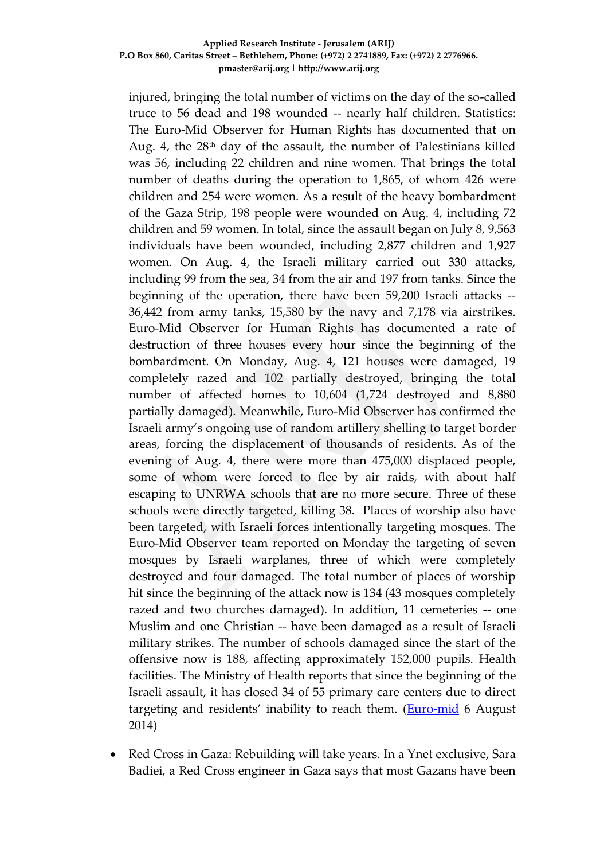injured, bringing the total number of victims on the day of the so-called truce to 56 dead and 198 wounded -- nearly half children. Statistics: The Euro-Mid Observer for Human Rights has documented that on Aug. 4, the  $28<sup>th</sup>$  day of the assault, the number of Palestinians killed was 56, including 22 children and nine women. That brings the total number of deaths during the operation to 1,865, of whom 426 were children and 254 were women. As a result of the heavy bombardment of the Gaza Strip, 198 people were wounded on Aug. 4, including 72 children and 59 women. In total, since the assault began on July 8, 9,563 individuals have been wounded, including 2,877 children and 1,927 women. On Aug. 4, the Israeli military carried out 330 attacks, including 99 from the sea, 34 from the air and 197 from tanks. Since the beginning of the operation, there have been 59,200 Israeli attacks -- 36,442 from army tanks, 15,580 by the navy and 7,178 via airstrikes. Euro-Mid Observer for Human Rights has documented a rate of destruction of three houses every hour since the beginning of the bombardment. On Monday, Aug. 4, 121 houses were damaged, 19 completely razed and 102 partially destroyed, bringing the total number of affected homes to 10,604 (1,724 destroyed and 8,880 partially damaged). Meanwhile, Euro-Mid Observer has confirmed the Israeli army's ongoing use of random artillery shelling to target border areas, forcing the displacement of thousands of residents. As of the evening of Aug. 4, there were more than 475,000 displaced people, some of whom were forced to flee by air raids, with about half escaping to UNRWA schools that are no more secure. Three of these schools were directly targeted, killing 38. Places of worship also have been targeted, with Israeli forces intentionally targeting mosques. The Euro-Mid Observer team reported on Monday the targeting of seven mosques by Israeli warplanes, three of which were completely destroyed and four damaged. The total number of places of worship hit since the beginning of the attack now is 134 (43 mosques completely razed and two churches damaged). In addition, 11 cemeteries -- one Muslim and one Christian -- have been damaged as a result of Israeli military strikes. The number of schools damaged since the start of the offensive now is 188, affecting approximately 152,000 pupils. Health facilities. The Ministry of Health reports that since the beginning of the Israeli assault, it has closed 34 of 55 primary care centers due to direct targeting and residents' inability to reach them. [\(Euro-mid](http://www.euromid.org/en/article/590/Israel-Announces-Humanitarian-Truce-and-Continues-to-Kill-Civilians) 6 August 2014)

• Red Cross in Gaza: Rebuilding will take years. In a Ynet exclusive, Sara Badiei, a Red Cross engineer in Gaza says that most Gazans have been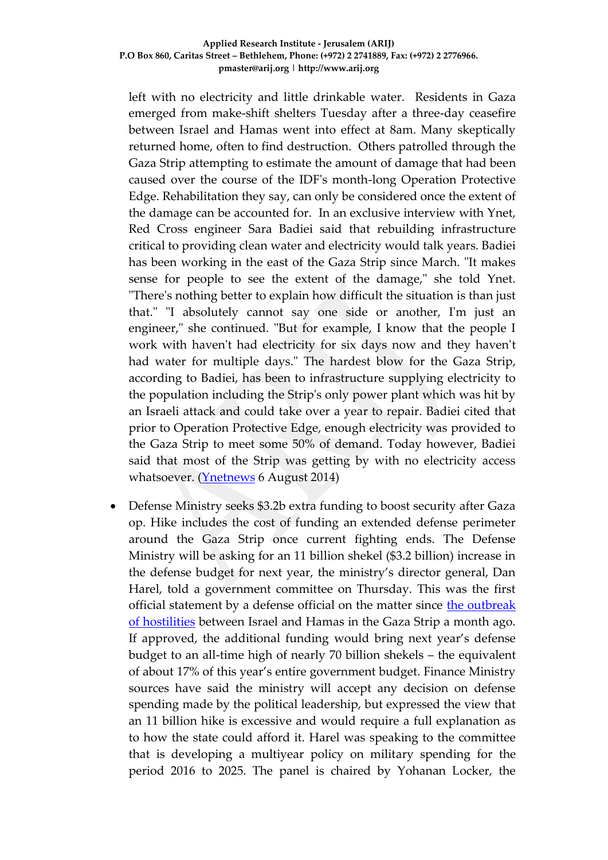left with no electricity and little drinkable water. Residents in Gaza emerged from make-shift shelters Tuesday after a three-day ceasefire between Israel and Hamas went into effect at 8am. Many skeptically returned home, often to find destruction. Others patrolled through the Gaza Strip attempting to estimate the amount of damage that had been caused over the course of the IDF's month-long Operation Protective Edge. Rehabilitation they say, can only be considered once the extent of the damage can be accounted for. In an exclusive interview with Ynet, Red Cross engineer Sara Badiei said that rebuilding infrastructure critical to providing clean water and electricity would talk years. Badiei has been working in the east of the Gaza Strip since March. "It makes sense for people to see the extent of the damage," she told Ynet. "There's nothing better to explain how difficult the situation is than just that." "I absolutely cannot say one side or another, I'm just an engineer," she continued. "But for example, I know that the people I work with haven't had electricity for six days now and they haven't had water for multiple days." The hardest blow for the Gaza Strip, according to Badiei, has been to infrastructure supplying electricity to the population including the Strip's only power plant which was hit by an Israeli attack and could take over a year to repair. Badiei cited that prior to Operation Protective Edge, enough electricity was provided to the Gaza Strip to meet some 50% of demand. Today however, Badiei said that most of the Strip was getting by with no electricity access whatsoever. [\(Ynetnews](http://www.ynetnews.com/articles/0,7340,L-4555392,00.html) 6 August 2014)

 Defense Ministry seeks \$3.2b extra funding to boost security after Gaza op. Hike includes the cost of funding an extended defense perimeter around the Gaza Strip once current fighting ends. The Defense Ministry will be asking for an 11 billion shekel (\$3.2 billion) increase in the defense budget for next year, the ministry's director general, Dan Harel, told a government committee on Thursday. This was the first official statement by a defense official on the matter since the outbreak [of hostilities](http://www.haaretz.com/news/diplomacy-defense/israel-gaza-conflict-2014) between Israel and Hamas in the Gaza Strip a month ago. If approved, the additional funding would bring next year's defense budget to an all-time high of nearly 70 billion shekels – the equivalent of about 17% of this year's entire government budget. Finance Ministry sources have said the ministry will accept any decision on defense spending made by the political leadership, but expressed the view that an 11 billion hike is excessive and would require a full explanation as to how the state could afford it. Harel was speaking to the committee that is developing a multiyear policy on military spending for the period 2016 to 2025. The panel is chaired by Yohanan Locker, the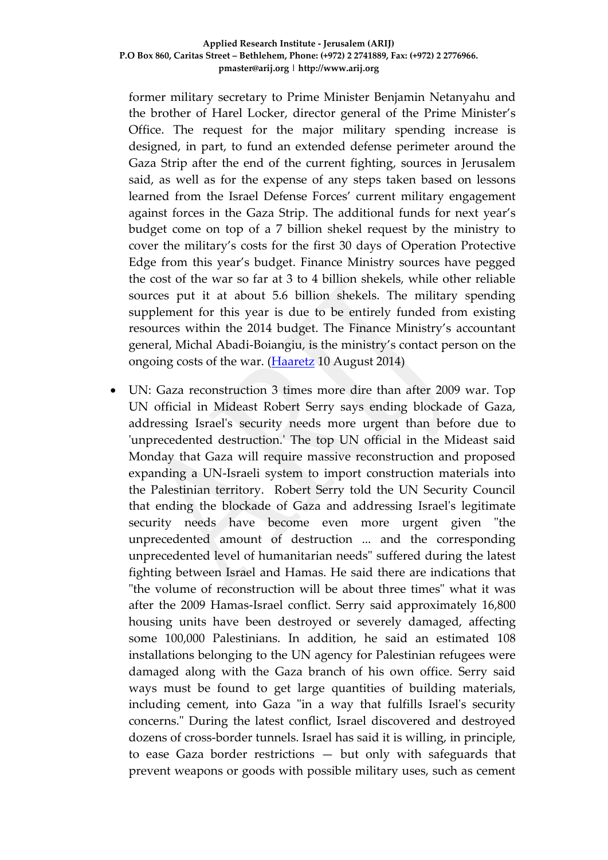former military secretary to Prime Minister Benjamin Netanyahu and the brother of Harel Locker, director general of the Prime Minister's Office. The request for the major military spending increase is designed, in part, to fund an extended defense perimeter around the Gaza Strip after the end of the current fighting, sources in Jerusalem said, as well as for the expense of any steps taken based on lessons learned from the Israel Defense Forces' current military engagement against forces in the Gaza Strip. The additional funds for next year's budget come on top of a 7 billion shekel request by the ministry to cover the military's costs for the first 30 days of Operation Protective Edge from this year's budget. Finance Ministry sources have pegged the cost of the war so far at 3 to 4 billion shekels, while other reliable sources put it at about 5.6 billion shekels. The military spending supplement for this year is due to be entirely funded from existing resources within the 2014 budget. The Finance Ministry's accountant general, Michal Abadi-Boiangiu, is the ministry's contact person on the ongoing costs of the war. [\(Haaretz](http://www.haaretz.com/business/.premium-1.609733) 10 August 2014)

 UN: Gaza reconstruction 3 times more dire than after 2009 war. Top UN official in Mideast Robert Serry says ending blockade of Gaza, addressing Israel's security needs more urgent than before due to 'unprecedented destruction.' The top UN official in the Mideast said Monday that Gaza will require massive reconstruction and proposed expanding a UN-Israeli system to import construction materials into the Palestinian territory. Robert Serry told the UN Security Council that ending the blockade of Gaza and addressing Israel's legitimate security needs have become even more urgent given "the unprecedented amount of destruction ... and the corresponding unprecedented level of humanitarian needs" suffered during the latest fighting between Israel and Hamas. He said there are indications that "the volume of reconstruction will be about three times" what it was after the 2009 Hamas-Israel conflict. Serry said approximately 16,800 housing units have been destroyed or severely damaged, affecting some 100,000 Palestinians. In addition, he said an estimated 108 installations belonging to the UN agency for Palestinian refugees were damaged along with the Gaza branch of his own office. Serry said ways must be found to get large quantities of building materials, including cement, into Gaza "in a way that fulfills Israel's security concerns." During the latest conflict, Israel discovered and destroyed dozens of cross-border tunnels. Israel has said it is willing, in principle, to ease Gaza border restrictions — but only with safeguards that prevent weapons or goods with possible military uses, such as cement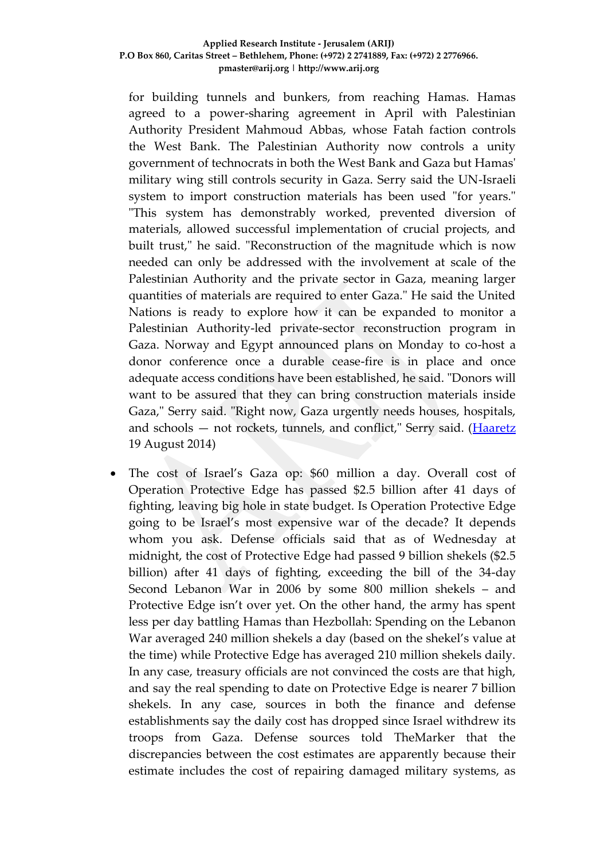for building tunnels and bunkers, from reaching Hamas. Hamas agreed to a power-sharing agreement in April with Palestinian Authority President Mahmoud Abbas, whose Fatah faction controls the West Bank. The Palestinian Authority now controls a unity government of technocrats in both the West Bank and Gaza but Hamas' military wing still controls security in Gaza. Serry said the UN-Israeli system to import construction materials has been used "for years." "This system has demonstrably worked, prevented diversion of materials, allowed successful implementation of crucial projects, and built trust," he said. "Reconstruction of the magnitude which is now needed can only be addressed with the involvement at scale of the Palestinian Authority and the private sector in Gaza, meaning larger quantities of materials are required to enter Gaza." He said the United Nations is ready to explore how it can be expanded to monitor a Palestinian Authority-led private-sector reconstruction program in Gaza. Norway and Egypt announced plans on Monday to co-host a donor conference once a durable cease-fire is in place and once adequate access conditions have been established, he said. "Donors will want to be assured that they can bring construction materials inside Gaza," Serry said. "Right now, Gaza urgently needs houses, hospitals, and schools – not rockets, tunnels, and conflict," Serry said. [\(Haaretz](http://www.haaretz.com/news/diplomacy-defense/1.611217) 19 August 2014)

 The cost of Israel's Gaza op: \$60 million a day. Overall cost of Operation Protective Edge has passed \$2.5 billion after 41 days of fighting, leaving big hole in state budget. Is Operation Protective Edge going to be Israel's most expensive war of the decade? It depends whom you ask. Defense officials said that as of Wednesday at midnight, the cost of Protective Edge had passed 9 billion shekels (\$2.5 billion) after 41 days of fighting, exceeding the bill of the 34-day Second Lebanon War in 2006 by some 800 million shekels – and Protective Edge isn't over yet. On the other hand, the army has spent less per day battling Hamas than Hezbollah: Spending on the Lebanon War averaged 240 million shekels a day (based on the shekel's value at the time) while Protective Edge has averaged 210 million shekels daily. In any case, treasury officials are not convinced the costs are that high, and say the real spending to date on Protective Edge is nearer 7 billion shekels. In any case, sources in both the finance and defense establishments say the daily cost has dropped since Israel withdrew its troops from Gaza. Defense sources told TheMarker that the discrepancies between the cost estimates are apparently because their estimate includes the cost of repairing damaged military systems, as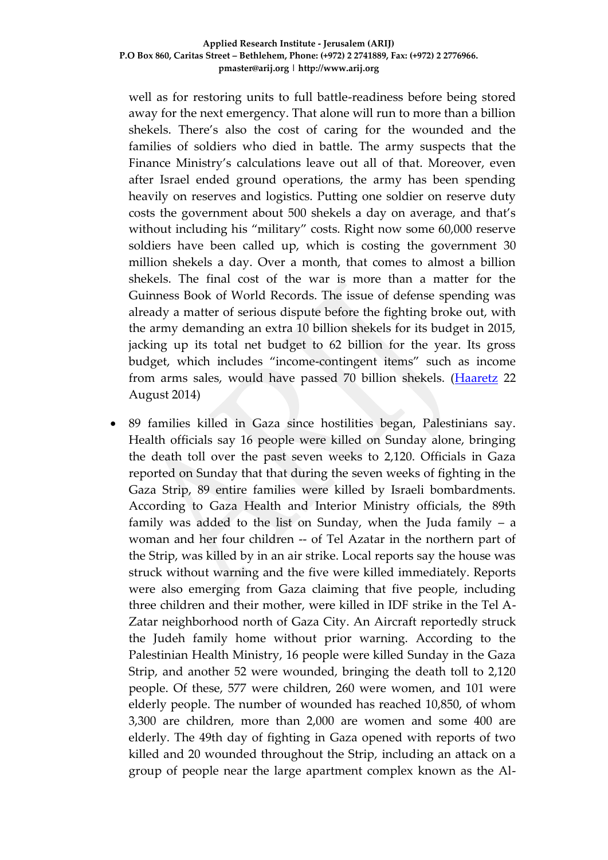well as for restoring units to full battle-readiness before being stored away for the next emergency. That alone will run to more than a billion shekels. There's also the cost of caring for the wounded and the families of soldiers who died in battle. The army suspects that the Finance Ministry's calculations leave out all of that. Moreover, even after Israel ended ground operations, the army has been spending heavily on reserves and logistics. Putting one soldier on reserve duty costs the government about 500 shekels a day on average, and that's without including his "military" costs. Right now some 60,000 reserve soldiers have been called up, which is costing the government 30 million shekels a day. Over a month, that comes to almost a billion shekels. The final cost of the war is more than a matter for the Guinness Book of World Records. The issue of defense spending was already a matter of serious dispute before the fighting broke out, with the army demanding an extra 10 billion shekels for its budget in 2015, jacking up its total net budget to 62 billion for the year. Its gross budget, which includes "income-contingent items" such as income from arms sales, would have passed 70 billion shekels. [\(Haaretz](http://www.haaretz.com/news/diplomacy-defense/.premium-1.611930) 22 August 2014)

 89 families killed in Gaza since hostilities began, Palestinians say. Health officials say 16 people were killed on Sunday alone, bringing the death toll over the past seven weeks to 2,120. Officials in Gaza reported on Sunday that that during the seven weeks of fighting in the Gaza Strip, 89 entire families were killed by Israeli bombardments. According to Gaza Health and Interior Ministry officials, the 89th family was added to the list on Sunday, when the Juda family – a woman and her four children -- of Tel Azatar in the northern part of the Strip, was killed by in an air strike. Local reports say the house was struck without warning and the five were killed immediately. Reports were also emerging from Gaza claiming that five people, including three children and their mother, were killed in IDF strike in the Tel A-Zatar neighborhood north of Gaza City. An Aircraft reportedly struck the Judeh family home without prior warning. According to the Palestinian Health Ministry, 16 people were killed Sunday in the Gaza Strip, and another 52 were wounded, bringing the death toll to 2,120 people. Of these, 577 were children, 260 were women, and 101 were elderly people. The number of wounded has reached 10,850, of whom 3,300 are children, more than 2,000 are women and some 400 are elderly. The 49th day of fighting in Gaza opened with reports of two killed and 20 wounded throughout the Strip, including an attack on a group of people near the large apartment complex known as the Al-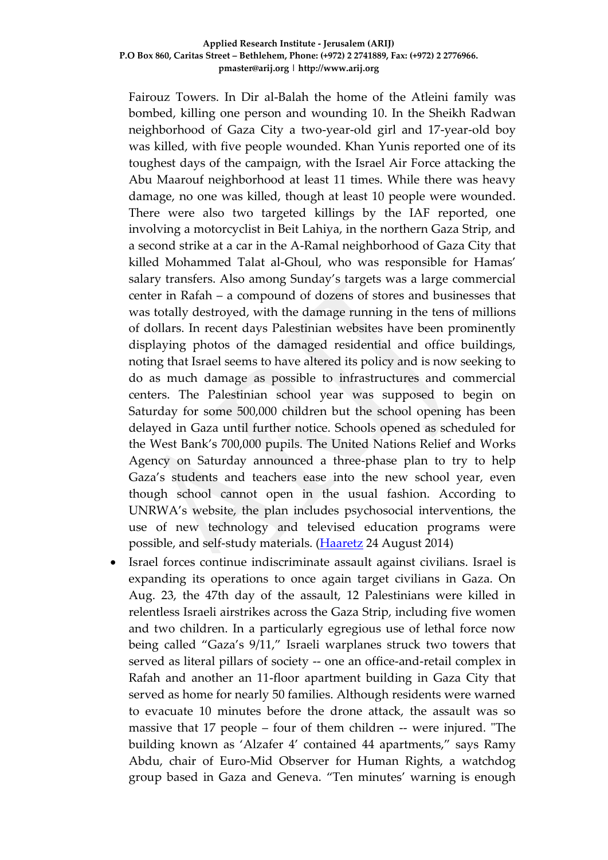Fairouz Towers. In Dir al-Balah the home of the Atleini family was bombed, killing one person and wounding 10. In the Sheikh Radwan neighborhood of Gaza City a two-year-old girl and 17-year-old boy was killed, with five people wounded. Khan Yunis reported one of its toughest days of the campaign, with the Israel Air Force attacking the Abu Maarouf neighborhood at least 11 times. While there was heavy damage, no one was killed, though at least 10 people were wounded. There were also two targeted killings by the IAF reported, one involving a motorcyclist in Beit Lahiya, in the northern Gaza Strip, and a second strike at a car in the A-Ramal neighborhood of Gaza City that killed Mohammed Talat al-Ghoul, who was responsible for Hamas' salary transfers. Also among Sunday's targets was a large commercial center in Rafah – a compound of dozens of stores and businesses that was totally destroyed, with the damage running in the tens of millions of dollars. In recent days Palestinian websites have been prominently displaying photos of the damaged residential and office buildings, noting that Israel seems to have altered its policy and is now seeking to do as much damage as possible to infrastructures and commercial centers. The Palestinian school year was supposed to begin on Saturday for some 500,000 children but the school opening has been delayed in Gaza until further notice. Schools opened as scheduled for the West Bank's 700,000 pupils. The United Nations Relief and Works Agency on Saturday announced a three-phase plan to try to help Gaza's students and teachers ease into the new school year, even though school cannot open in the usual fashion. According to UNRWA's website, the plan includes psychosocial interventions, the use of new technology and televised education programs were possible, and self-study materials. [\(Haaretz](http://www.haaretz.com/news/diplomacy-defense/1.612255) 24 August 2014)

 Israel forces continue indiscriminate assault against civilians. Israel is expanding its operations to once again target civilians in Gaza. On Aug. 23, the 47th day of the assault, 12 Palestinians were killed in relentless Israeli airstrikes across the Gaza Strip, including five women and two children. In a particularly egregious use of lethal force now being called "Gaza's 9/11," Israeli warplanes struck two towers that served as literal pillars of society -- one an office-and-retail complex in Rafah and another an 11-floor apartment building in Gaza City that served as home for nearly 50 families. Although residents were warned to evacuate 10 minutes before the drone attack, the assault was so massive that 17 people – four of them children -- were injured. "The building known as 'Alzafer 4' contained 44 apartments," says Ramy Abdu, chair of Euro-Mid Observer for Human Rights, a watchdog group based in Gaza and Geneva. "Ten minutes' warning is enough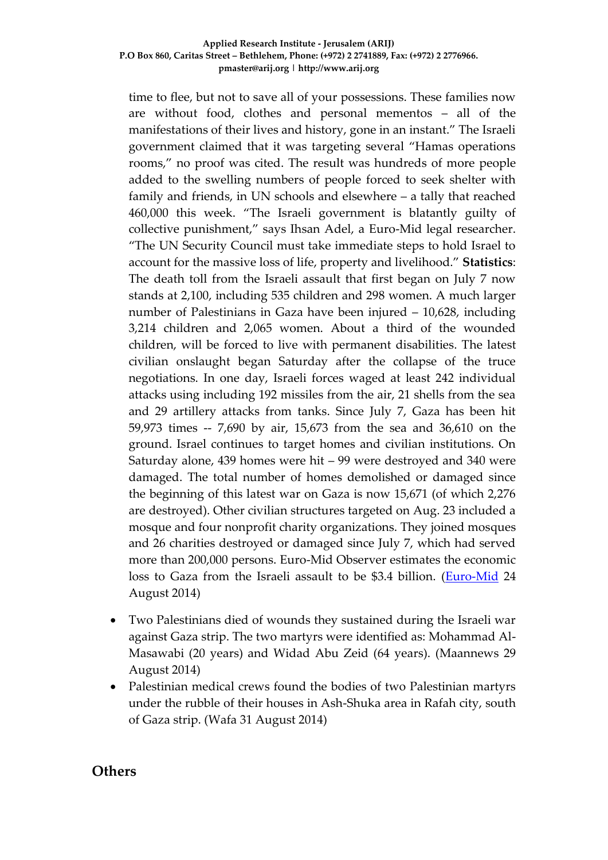time to flee, but not to save all of your possessions. These families now are without food, clothes and personal mementos – all of the manifestations of their lives and history, gone in an instant." The Israeli government claimed that it was targeting several "Hamas operations rooms," no proof was cited. The result was hundreds of more people added to the swelling numbers of people forced to seek shelter with family and friends, in UN schools and elsewhere – a tally that reached 460,000 this week. "The Israeli government is blatantly guilty of collective punishment," says Ihsan Adel, a Euro-Mid legal researcher. "The UN Security Council must take immediate steps to hold Israel to account for the massive loss of life, property and livelihood." **Statistics**: The death toll from the Israeli assault that first began on July 7 now stands at 2,100, including 535 children and 298 women. A much larger number of Palestinians in Gaza have been injured – 10,628, including 3,214 children and 2,065 women. About a third of the wounded children, will be forced to live with permanent disabilities. The latest civilian onslaught began Saturday after the collapse of the truce negotiations. In one day, Israeli forces waged at least 242 individual attacks using including 192 missiles from the air, 21 shells from the sea and 29 artillery attacks from tanks. Since July 7, Gaza has been hit 59,973 times -- 7,690 by air, 15,673 from the sea and 36,610 on the ground. Israel continues to target homes and civilian institutions. On Saturday alone, 439 homes were hit – 99 were destroyed and 340 were damaged. The total number of homes demolished or damaged since the beginning of this latest war on Gaza is now 15,671 (of which 2,276 are destroyed). Other civilian structures targeted on Aug. 23 included a mosque and four nonprofit charity organizations. They joined mosques and 26 charities destroyed or damaged since July 7, which had served more than 200,000 persons. Euro-Mid Observer estimates the economic loss to Gaza from the Israeli assault to be \$3.4 billion. [\(Euro-Mid](http://www.euromid.org/en/article/604/Israel-forces-continue-indiscriminate-assault-against-civilians) 24 August 2014)

- Two Palestinians died of wounds they sustained during the Israeli war against Gaza strip. The two martyrs were identified as: Mohammad Al-Masawabi (20 years) and Widad Abu Zeid (64 years). (Maannews 29 August 2014)
- Palestinian medical crews found the bodies of two Palestinian martyrs under the rubble of their houses in Ash-Shuka area in Rafah city, south of Gaza strip. (Wafa 31 August 2014)

#### **Others**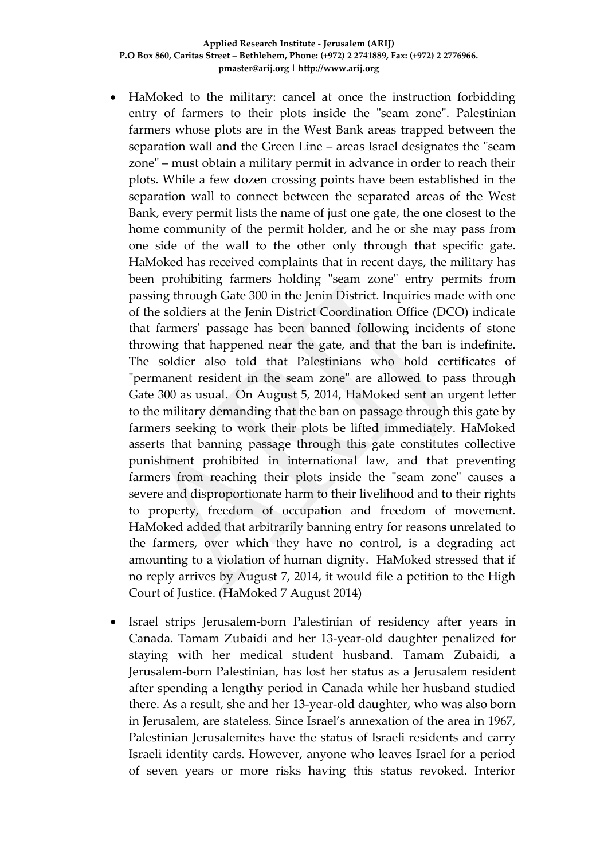- HaMoked to the military: cancel at once the instruction forbidding entry of farmers to their plots inside the "seam zone". Palestinian farmers whose plots are in the West Bank areas trapped between the separation wall and the Green Line – areas Israel designates the "seam zone" – must obtain a military permit in advance in order to reach their plots. While a few dozen crossing points have been established in the separation wall to connect between the separated areas of the West Bank, every permit lists the name of just one gate, the one closest to the home community of the permit holder, and he or she may pass from one side of the wall to the other only through that specific gate. HaMoked has received complaints that in recent days, the military has been prohibiting farmers holding "seam zone" entry permits from passing through Gate 300 in the Jenin District. Inquiries made with one of the soldiers at the Jenin District Coordination Office (DCO) indicate that farmers' passage has been banned following incidents of stone throwing that happened near the gate, and that the ban is indefinite. The soldier also told that Palestinians who hold certificates of "permanent resident in the seam zone" are allowed to pass through Gate 300 as usual. On August 5, 2014, HaMoked sent an urgent letter to the military demanding that the ban on passage through this gate by farmers seeking to work their plots be lifted immediately. HaMoked asserts that banning passage through this gate constitutes collective punishment prohibited in international law, and that preventing farmers from reaching their plots inside the "seam zone" causes a severe and disproportionate harm to their livelihood and to their rights to property, freedom of occupation and freedom of movement. HaMoked added that arbitrarily banning entry for reasons unrelated to the farmers, over which they have no control, is a degrading act amounting to a violation of human dignity. HaMoked stressed that if no reply arrives by August 7, 2014, it would file a petition to the High Court of Justice. (HaMoked 7 August 2014)
- Israel strips Jerusalem-born Palestinian of residency after years in Canada. Tamam Zubaidi and her 13-year-old daughter penalized for staying with her medical student husband. Tamam Zubaidi, a Jerusalem-born Palestinian, has lost her status as a Jerusalem resident after spending a lengthy period in Canada while her husband studied there. As a result, she and her 13-year-old daughter, who was also born in Jerusalem, are stateless. Since Israel's annexation of the area in 1967, Palestinian Jerusalemites have the status of Israeli residents and carry Israeli identity cards. However, anyone who leaves Israel for a period of seven years or more risks having this status revoked. Interior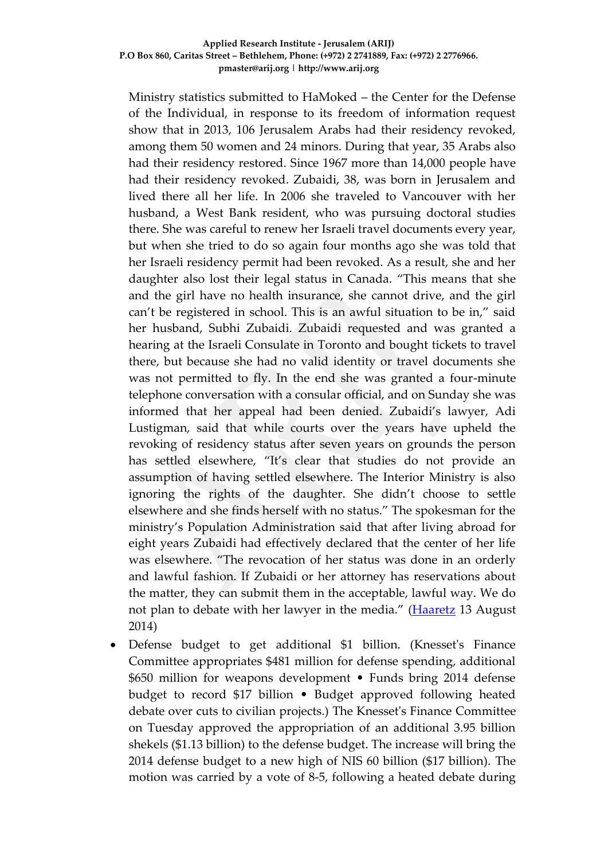Ministry statistics submitted to HaMoked – the Center for the Defense of the Individual, in response to its freedom of information request show that in 2013, 106 Jerusalem Arabs had their residency revoked, among them 50 women and 24 minors. During that year, 35 Arabs also had their residency restored. Since 1967 more than 14,000 people have had their residency revoked. Zubaidi, 38, was born in Jerusalem and lived there all her life. In 2006 she traveled to Vancouver with her husband, a West Bank resident, who was pursuing doctoral studies there. She was careful to renew her Israeli travel documents every year, but when she tried to do so again four months ago she was told that her Israeli residency permit had been revoked. As a result, she and her daughter also lost their legal status in Canada. "This means that she and the girl have no health insurance, she cannot drive, and the girl can't be registered in school. This is an awful situation to be in," said her husband, Subhi Zubaidi. Zubaidi requested and was granted a hearing at the Israeli Consulate in Toronto and bought tickets to travel there, but because she had no valid identity or travel documents she was not permitted to fly. In the end she was granted a four-minute telephone conversation with a consular official, and on Sunday she was informed that her appeal had been denied. Zubaidi's lawyer, Adi Lustigman, said that while courts over the years have upheld the revoking of residency status after seven years on grounds the person has settled elsewhere, "It's clear that studies do not provide an assumption of having settled elsewhere. The Interior Ministry is also ignoring the rights of the daughter. She didn't choose to settle elsewhere and she finds herself with no status." The spokesman for the ministry's Population Administration said that after living abroad for eight years Zubaidi had effectively declared that the center of her life was elsewhere. "The revocation of her status was done in an orderly and lawful fashion. If Zubaidi or her attorney has reservations about the matter, they can submit them in the acceptable, lawful way. We do not plan to debate with her lawyer in the media." [\(Haaretz](http://www.haaretz.com/news/national/.premium-1.610239) 13 August 2014)

 Defense budget to get additional \$1 billion. (Knesset's Finance Committee appropriates \$481 million for defense spending, additional \$650 million for weapons development • Funds bring 2014 defense budget to record \$17 billion • Budget approved following heated debate over cuts to civilian projects.) The Knesset's Finance Committee on Tuesday approved the appropriation of an additional 3.95 billion shekels (\$1.13 billion) to the defense budget. The increase will bring the 2014 defense budget to a new high of NIS 60 billion (\$17 billion). The motion was carried by a vote of 8-5, following a heated debate during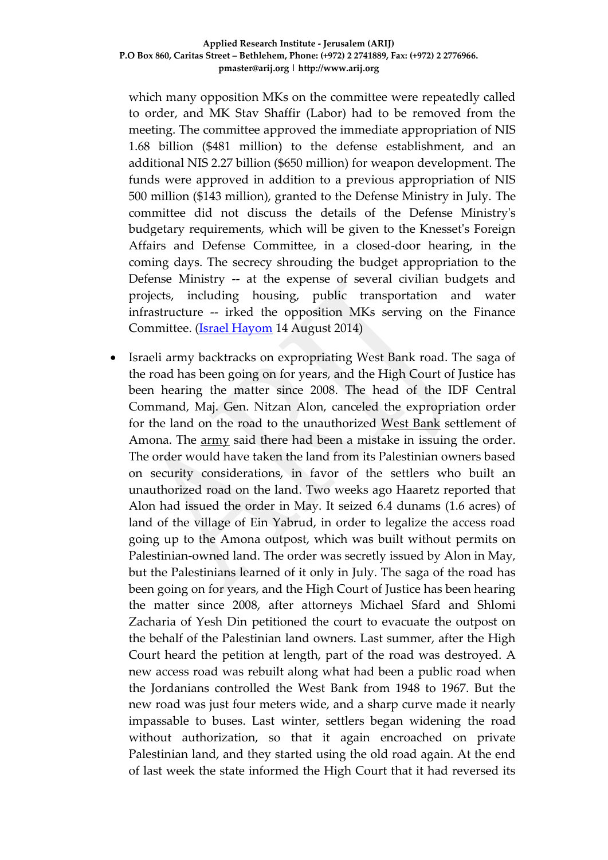which many opposition MKs on the committee were repeatedly called to order, and MK Stav Shaffir (Labor) had to be removed from the meeting. The committee approved the immediate appropriation of NIS 1.68 billion (\$481 million) to the defense establishment, and an additional NIS 2.27 billion (\$650 million) for weapon development. The funds were approved in addition to a previous appropriation of NIS 500 million (\$143 million), granted to the Defense Ministry in July. The committee did not discuss the details of the Defense Ministry's budgetary requirements, which will be given to the Knesset's Foreign Affairs and Defense Committee, in a closed-door hearing, in the coming days. The secrecy shrouding the budget appropriation to the Defense Ministry -- at the expense of several civilian budgets and projects, including housing, public transportation and water infrastructure -- irked the opposition MKs serving on the Finance Committee. [\(Israel Hayom](http://www.israelhayom.com/site/newsletter_article.php?id=19429) 14 August 2014)

 Israeli army backtracks on expropriating West Bank road. The saga of the road has been going on for years, and the High Court of Justice has been hearing the matter since 2008. The head of the IDF Central Command, Maj. Gen. Nitzan Alon, canceled the expropriation order for the land on the road to the unauthorized [West Bank](http://www.haaretz.com/misc/tags/West%20Bank-1.477132) settlement of Amona. The [army](http://www.haaretz.com/misc/tags/IDF-1.476775) said there had been a mistake in issuing the order. The order would have taken the land from its Palestinian owners based on security considerations, in favor of the settlers who built an unauthorized road on the land. Two weeks ago Haaretz reported that Alon had issued the order in May. It seized 6.4 dunams (1.6 acres) of land of the village of Ein Yabrud, in order to legalize the access road going up to the Amona outpost, which was built without permits on Palestinian-owned land. The order was secretly issued by Alon in May, but the Palestinians learned of it only in July. The saga of the road has been going on for years, and the High Court of Justice has been hearing the matter since 2008, after attorneys Michael Sfard and Shlomi Zacharia of Yesh Din petitioned the court to evacuate the outpost on the behalf of the Palestinian land owners. Last summer, after the High Court heard the petition at length, part of the road was destroyed. A new access road was rebuilt along what had been a public road when the Jordanians controlled the West Bank from 1948 to 1967. But the new road was just four meters wide, and a sharp curve made it nearly impassable to buses. Last winter, settlers began widening the road without authorization, so that it again encroached on private Palestinian land, and they started using the old road again. At the end of last week the state informed the High Court that it had reversed its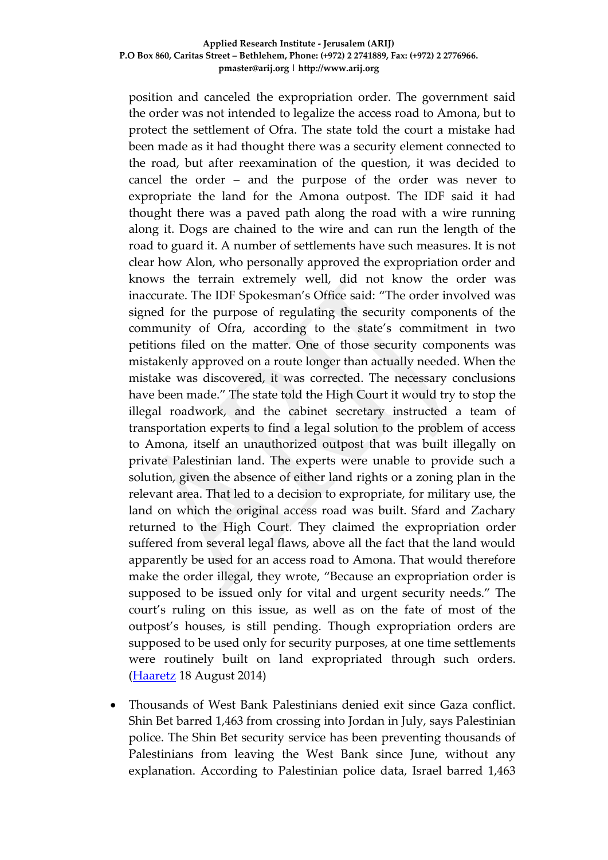position and canceled the expropriation order. The government said the order was not intended to legalize the access road to Amona, but to protect the settlement of Ofra. The state told the court a mistake had been made as it had thought there was a security element connected to the road, but after reexamination of the question, it was decided to cancel the order – and the purpose of the order was never to expropriate the land for the Amona outpost. The IDF said it had thought there was a paved path along the road with a wire running along it. Dogs are chained to the wire and can run the length of the road to guard it. A number of settlements have such measures. It is not clear how Alon, who personally approved the expropriation order and knows the terrain extremely well, did not know the order was inaccurate. The IDF Spokesman's Office said: "The order involved was signed for the purpose of regulating the security components of the community of Ofra, according to the state's commitment in two petitions filed on the matter. One of those security components was mistakenly approved on a route longer than actually needed. When the mistake was discovered, it was corrected. The necessary conclusions have been made." The state told the High Court it would try to stop the illegal roadwork, and the cabinet secretary instructed a team of transportation experts to find a legal solution to the problem of access to Amona, itself an unauthorized outpost that was built illegally on private Palestinian land. The experts were unable to provide such a solution, given the absence of either land rights or a zoning plan in the relevant area. That led to a decision to expropriate, for military use, the land on which the original access road was built. Sfard and Zachary returned to the High Court. They claimed the expropriation order suffered from several legal flaws, above all the fact that the land would apparently be used for an access road to Amona. That would therefore make the order illegal, they wrote, "Because an expropriation order is supposed to be issued only for vital and urgent security needs." The court's ruling on this issue, as well as on the fate of most of the outpost's houses, is still pending. Though expropriation orders are supposed to be used only for security purposes, at one time settlements were routinely built on land expropriated through such orders. [\(Haaretz](http://www.haaretz.com/news/diplomacy-defense/.premium-1.611016) 18 August 2014)

 Thousands of West Bank Palestinians denied exit since Gaza conflict. Shin Bet barred 1,463 from crossing into Jordan in July, says Palestinian police. The Shin Bet security service has been preventing thousands of Palestinians from leaving the West Bank since June, without any explanation. According to Palestinian police data, Israel barred 1,463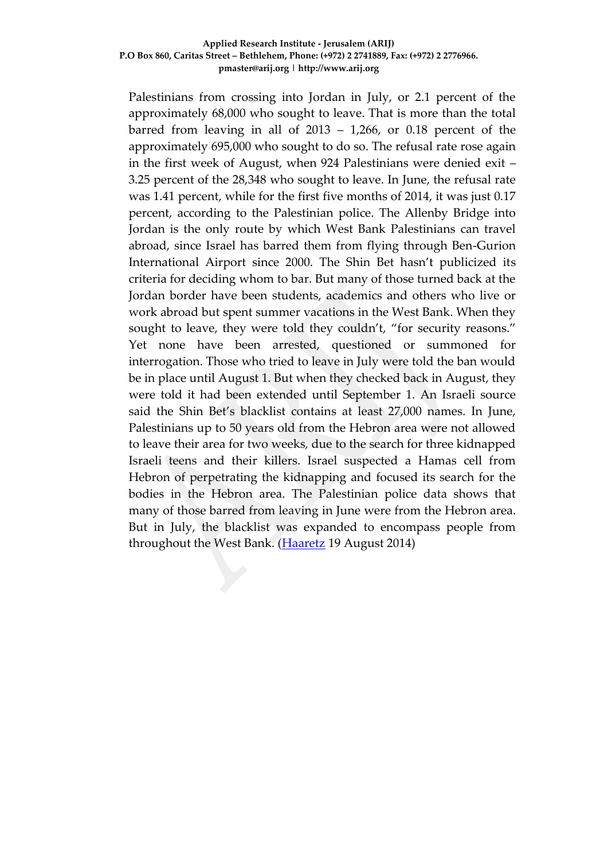Palestinians from crossing into Jordan in July, or 2.1 percent of the approximately 68,000 who sought to leave. That is more than the total barred from leaving in all of  $2013 - 1,266$ , or 0.18 percent of the approximately 695,000 who sought to do so. The refusal rate rose again in the first week of August, when 924 Palestinians were denied exit – 3.25 percent of the 28,348 who sought to leave. In June, the refusal rate was 1.41 percent, while for the first five months of 2014, it was just 0.17 percent, according to the Palestinian police. The Allenby Bridge into Jordan is the only route by which West Bank Palestinians can travel abroad, since Israel has barred them from flying through Ben-Gurion International Airport since 2000. The Shin Bet hasn't publicized its criteria for deciding whom to bar. But many of those turned back at the Jordan border have been students, academics and others who live or work abroad but spent summer vacations in the West Bank. When they sought to leave, they were told they couldn't, "for security reasons." Yet none have been arrested, questioned or summoned for interrogation. Those who tried to leave in July were told the ban would be in place until August 1. But when they checked back in August, they were told it had been extended until September 1. An Israeli source said the Shin Bet's blacklist contains at least 27,000 names. In June, Palestinians up to 50 years old from the Hebron area were not allowed to leave their area for two weeks, due to the search for three kidnapped Israeli teens and their killers. Israel suspected a Hamas cell from Hebron of perpetrating the kidnapping and focused its search for the bodies in the Hebron area. The Palestinian police data shows that many of those barred from leaving in June were from the Hebron area. But in July, the blacklist was expanded to encompass people from throughout the West Bank. [\(Haaretz](http://www.haaretz.com/news/diplomacy-defense/.premium-1.611227) 19 August 2014)